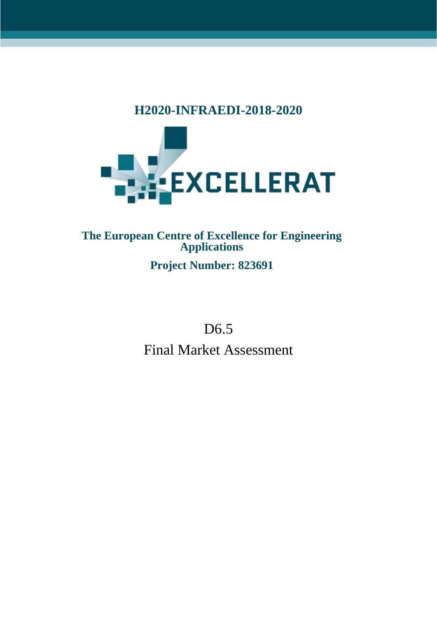## **H2020-INFRAEDI-2018-2020**



## **The European Centre of Excellence for Engineering Applications Project Number: 823691**

# D<sub>6.5</sub> Final Market Assessment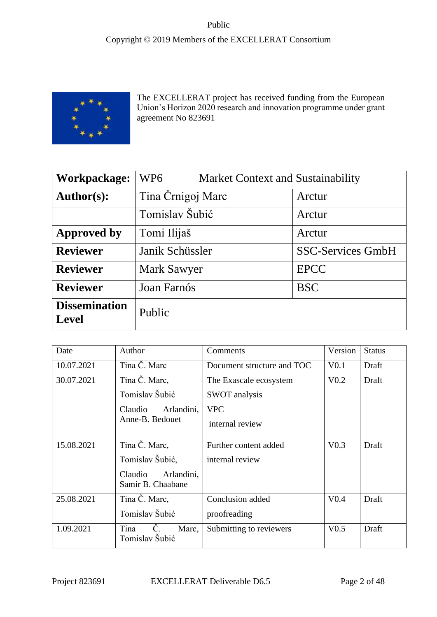

The EXCELLERAT project has received funding from the European Union's Horizon 2020 research and innovation programme under grant agreement No 823691

| Workpackage:                         | WP <sub>6</sub>    | <b>Market Context and Sustainability</b> |                          |  |
|--------------------------------------|--------------------|------------------------------------------|--------------------------|--|
| <b>Author(s):</b>                    | Tina Črnigoj Marc  |                                          | Arctur                   |  |
|                                      | Tomislav Šubić     |                                          | Arctur                   |  |
| Approved by                          | Tomi Ilijaš        |                                          | Arctur                   |  |
| <b>Reviewer</b>                      | Janik Schüssler    |                                          | <b>SSC-Services GmbH</b> |  |
| <b>Reviewer</b>                      | <b>Mark Sawyer</b> |                                          | <b>EPCC</b>              |  |
| <b>Reviewer</b>                      | Joan Farnós        |                                          | <b>BSC</b>               |  |
| <b>Dissemination</b><br><b>Level</b> | Public             |                                          |                          |  |

| Date       | Author                                     | Comments                   | Version          | <b>Status</b> |
|------------|--------------------------------------------|----------------------------|------------------|---------------|
| 10.07.2021 | Tina Č. Marc                               | Document structure and TOC | V <sub>0.1</sub> | Draft         |
| 30.07.2021 | Tina Č. Marc,                              | The Exascale ecosystem     | V <sub>0.2</sub> | Draft         |
|            | Tomislav Šubić                             | SWOT analysis              |                  |               |
|            | Claudio<br>Arlandini,                      | <b>VPC</b>                 |                  |               |
|            | Anne-B. Bedouet                            | internal review            |                  |               |
| 15.08.2021 | Tina Č. Marc,                              | Further content added      | V <sub>0.3</sub> | Draft         |
|            | Tomislav Šubić,                            | internal review            |                  |               |
|            | Claudio<br>Arlandini,<br>Samir B. Chaabane |                            |                  |               |
| 25.08.2021 | Tina Č. Marc,                              | Conclusion added           | V <sub>0.4</sub> | Draft         |
|            | Tomislav Šubić                             | proofreading               |                  |               |
| 1.09.2021  | Tina<br>Č.<br>Marc,<br>Tomislav Šubić      | Submitting to reviewers    | V <sub>0.5</sub> | Draft         |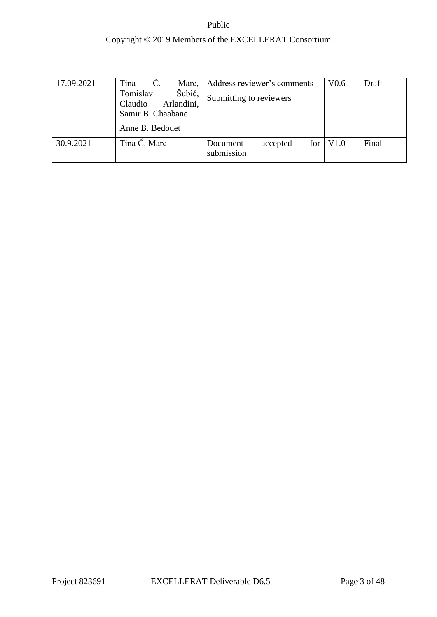| 17.09.2021 | Tina<br>Č.<br>Marc,<br>Šubić,<br>Tomislav  | Address reviewer's comments               | V <sub>0.6</sub> | Draft |
|------------|--------------------------------------------|-------------------------------------------|------------------|-------|
|            | Arlandini,<br>Claudio<br>Samir B. Chaabane | Submitting to reviewers                   |                  |       |
|            | Anne B. Bedouet                            |                                           |                  |       |
| 30.9.2021  | Tina Č. Marc                               | for<br>Document<br>accepted<br>submission | V <sub>1.0</sub> | Final |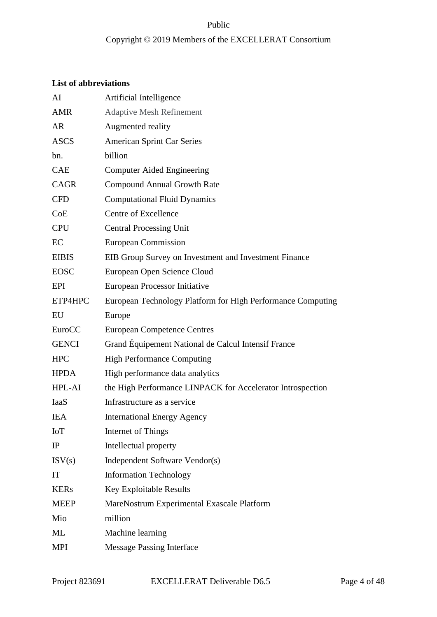## Copyright © 2019 Members of the EXCELLERAT Consortium

### **List of abbreviations**

| AI           | Artificial Intelligence                                     |
|--------------|-------------------------------------------------------------|
| <b>AMR</b>   | <b>Adaptive Mesh Refinement</b>                             |
| <b>AR</b>    | Augmented reality                                           |
| <b>ASCS</b>  | <b>American Sprint Car Series</b>                           |
| bn.          | billion                                                     |
| <b>CAE</b>   | <b>Computer Aided Engineering</b>                           |
| <b>CAGR</b>  | <b>Compound Annual Growth Rate</b>                          |
| <b>CFD</b>   | <b>Computational Fluid Dynamics</b>                         |
| CoE          | Centre of Excellence                                        |
| <b>CPU</b>   | <b>Central Processing Unit</b>                              |
| EC           | <b>European Commission</b>                                  |
| <b>EIBIS</b> | EIB Group Survey on Investment and Investment Finance       |
| <b>EOSC</b>  | European Open Science Cloud                                 |
| EPI          | <b>European Processor Initiative</b>                        |
| ETP4HPC      | European Technology Platform for High Performance Computing |
| EU           | Europe                                                      |
| EuroCC       | <b>European Competence Centres</b>                          |
| <b>GENCI</b> | Grand Équipement National de Calcul Intensif France         |
| <b>HPC</b>   | <b>High Performance Computing</b>                           |
| <b>HPDA</b>  | High performance data analytics                             |
| HPL-AI       | the High Performance LINPACK for Accelerator Introspection  |
| <b>IaaS</b>  | Infrastructure as a service                                 |
| IEA          | <b>International Energy Agency</b>                          |
| <b>IoT</b>   | Internet of Things                                          |
| IP           | Intellectual property                                       |
| ISV(s)       | Independent Software Vendor(s)                              |
| IT           | <b>Information Technology</b>                               |
| <b>KERs</b>  | Key Exploitable Results                                     |
| <b>MEEP</b>  | MareNostrum Experimental Exascale Platform                  |
| Mio          | million                                                     |
| ML           | Machine learning                                            |
| MPI          | <b>Message Passing Interface</b>                            |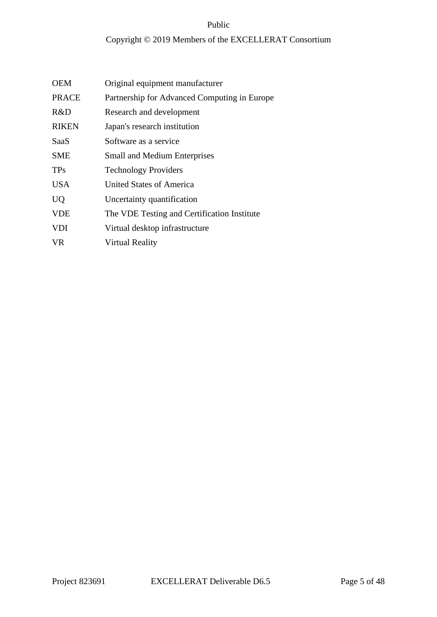| Original equipment manufacturer              |
|----------------------------------------------|
| Partnership for Advanced Computing in Europe |
| Research and development                     |
| Japan's research institution                 |
| Software as a service                        |
| <b>Small and Medium Enterprises</b>          |
| <b>Technology Providers</b>                  |
| <b>United States of America</b>              |
| Uncertainty quantification                   |
| The VDE Testing and Certification Institute  |
| Virtual desktop infrastructure               |
| Virtual Reality                              |
|                                              |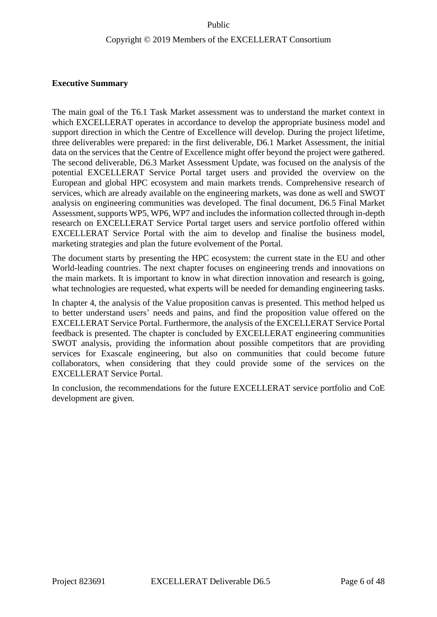#### **Executive Summary**

The main goal of the T6.1 Task Market assessment was to understand the market context in which EXCELLERAT operates in accordance to develop the appropriate business model and support direction in which the Centre of Excellence will develop. During the project lifetime, three deliverables were prepared: in the first deliverable, D6.1 Market Assessment, the initial data on the services that the Centre of Excellence might offer beyond the project were gathered. The second deliverable, D6.3 Market Assessment Update, was focused on the analysis of the potential EXCELLERAT Service Portal target users and provided the overview on the European and global HPC ecosystem and main markets trends. Comprehensive research of services, which are already available on the engineering markets, was done as well and SWOT analysis on engineering communities was developed. The final document, D6.5 Final Market Assessment, supports WP5, WP6, WP7 and includes the information collected through in-depth research on EXCELLERAT Service Portal target users and service portfolio offered within EXCELLERAT Service Portal with the aim to develop and finalise the business model, marketing strategies and plan the future evolvement of the Portal.

The document starts by presenting the HPC ecosystem: the current state in the EU and other World-leading countries. The next chapter focuses on engineering trends and innovations on the main markets. It is important to know in what direction innovation and research is going, what technologies are requested, what experts will be needed for demanding engineering tasks.

In chapter 4, the analysis of the Value proposition canvas is presented. This method helped us to better understand users' needs and pains, and find the proposition value offered on the EXCELLERAT Service Portal. Furthermore, the analysis of the EXCELLERAT Service Portal feedback is presented. The chapter is concluded by EXCELLERAT engineering communities SWOT analysis, providing the information about possible competitors that are providing services for Exascale engineering, but also on communities that could become future collaborators, when considering that they could provide some of the services on the EXCELLERAT Service Portal.

In conclusion, the recommendations for the future EXCELLERAT service portfolio and CoE development are given.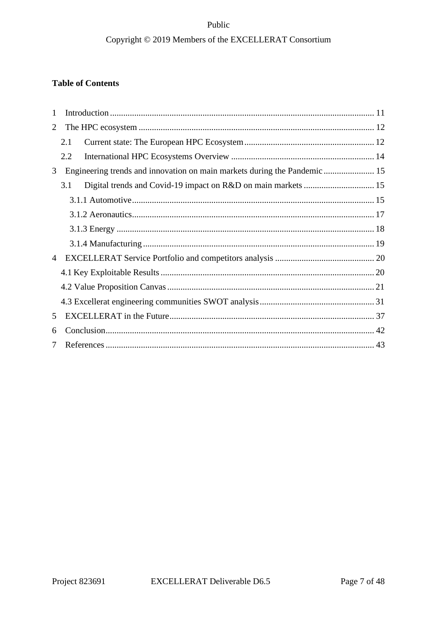## **Table of Contents**

| 1 |     |                                                                           |  |  |  |  |
|---|-----|---------------------------------------------------------------------------|--|--|--|--|
| 2 |     |                                                                           |  |  |  |  |
|   | 2.1 |                                                                           |  |  |  |  |
|   | 2.2 |                                                                           |  |  |  |  |
| 3 |     | Engineering trends and innovation on main markets during the Pandemic  15 |  |  |  |  |
|   | 3.1 |                                                                           |  |  |  |  |
|   |     |                                                                           |  |  |  |  |
|   |     |                                                                           |  |  |  |  |
|   |     |                                                                           |  |  |  |  |
|   |     |                                                                           |  |  |  |  |
| 4 |     |                                                                           |  |  |  |  |
|   |     |                                                                           |  |  |  |  |
|   |     |                                                                           |  |  |  |  |
|   |     |                                                                           |  |  |  |  |
| 5 |     |                                                                           |  |  |  |  |
| 6 |     |                                                                           |  |  |  |  |
| 7 |     |                                                                           |  |  |  |  |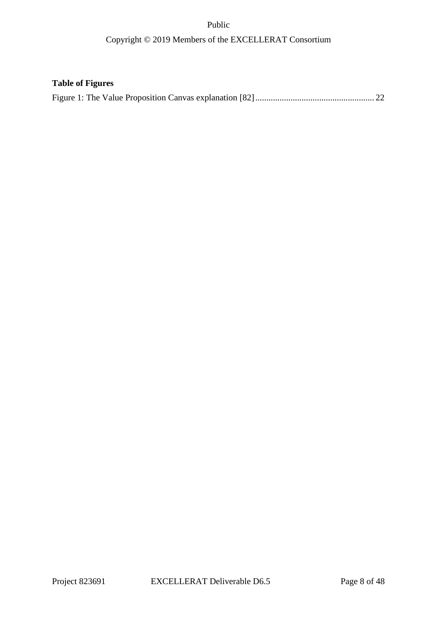## Copyright © 2019 Members of the EXCELLERAT Consortium

## **Table of Figures**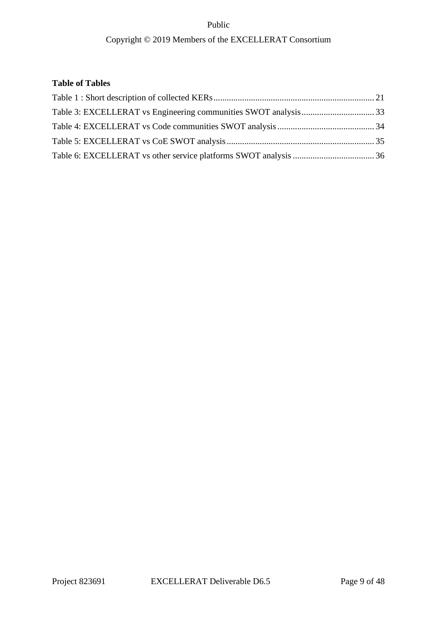## **Table of Tables**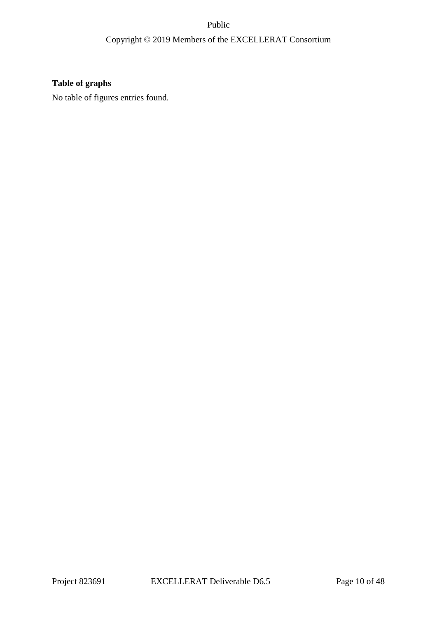## **Table of graphs**

No table of figures entries found.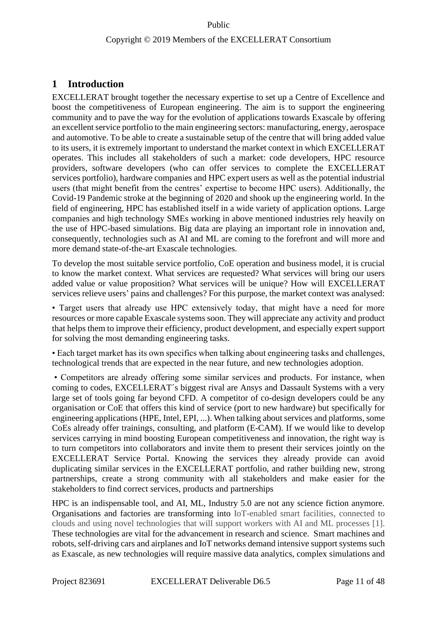## <span id="page-10-0"></span>**1 Introduction**

EXCELLERAT brought together the necessary expertise to set up a Centre of Excellence and boost the competitiveness of European engineering. The aim is to support the engineering community and to pave the way for the evolution of applications towards Exascale by offering an excellent service portfolio to the main engineering sectors: manufacturing, energy, aerospace and automotive. To be able to create a sustainable setup of the centre that will bring added value to its users, it is extremely important to understand the market context in which EXCELLERAT operates. This includes all stakeholders of such a market: code developers, HPC resource providers, software developers (who can offer services to complete the EXCELLERAT services portfolio), hardware companies and HPC expert users as well as the potential industrial users (that might benefit from the centres' expertise to become HPC users). Additionally, the Covid-19 Pandemic stroke at the beginning of 2020 and shook up the engineering world. In the field of engineering, HPC has established itself in a wide variety of application options. Large companies and high technology SMEs working in above mentioned industries rely heavily on the use of HPC-based simulations. Big data are playing an important role in innovation and, consequently, technologies such as AI and ML are coming to the forefront and will more and more demand state-of-the-art Exascale technologies.

To develop the most suitable service portfolio, CoE operation and business model, it is crucial to know the market context. What services are requested? What services will bring our users added value or value proposition? What services will be unique? How will EXCELLERAT services relieve users' pains and challenges? For this purpose, the market context was analysed:

• Target users that already use HPC extensively today, that might have a need for more resources or more capable Exascale systems soon. They will appreciate any activity and product that helps them to improve their efficiency, product development, and especially expert support for solving the most demanding engineering tasks.

• Each target market has its own specifics when talking about engineering tasks and challenges, technological trends that are expected in the near future, and new technologies adoption.

• Competitors are already offering some similar services and products. For instance, when coming to codes, EXCELLERAT´s biggest rival are Ansys and Dassault Systems with a very large set of tools going far beyond CFD. A competitor of co-design developers could be any organisation or CoE that offers this kind of service (port to new hardware) but specifically for engineering applications (HPE, Intel, EPI, ...). When talking about services and platforms, some CoEs already offer trainings, consulting, and platform (E-CAM). If we would like to develop services carrying in mind boosting European competitiveness and innovation, the right way is to turn competitors into collaborators and invite them to present their services jointly on the EXCELLERAT Service Portal. Knowing the services they already provide can avoid duplicating similar services in the EXCELLERAT portfolio, and rather building new, strong partnerships, create a strong community with all stakeholders and make easier for the stakeholders to find correct services, products and partnerships

HPC is an indispensable tool, and AI, ML, Industry 5.0 are not any science fiction anymore. Organisations and factories are transforming into IoT-enabled smart facilities, connected to clouds and using novel technologies that will support workers with AI and ML processes [1]. These technologies are vital for the advancement in research and science. Smart machines and robots, self-driving cars and airplanes and IoT networks demand intensive support systems such as Exascale, as new technologies will require massive data analytics, complex simulations and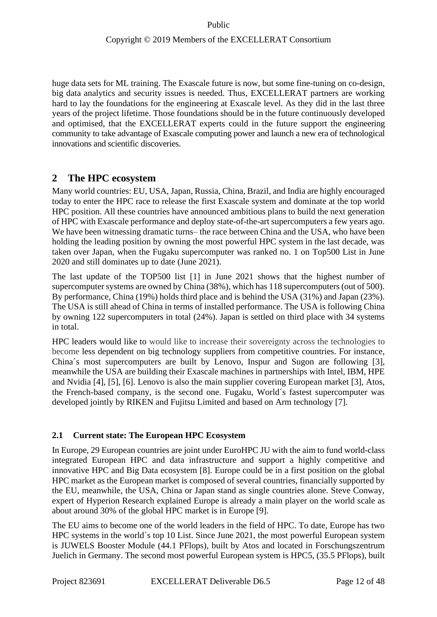huge data sets for ML training. The Exascale future is now, but some fine-tuning on co-design, big data analytics and security issues is needed. Thus, EXCELLERAT partners are working hard to lay the foundations for the engineering at Exascale level. As they did in the last three years of the project lifetime. Those foundations should be in the future continuously developed and optimised, that the EXCELLERAT experts could in the future support the engineering community to take advantage of Exascale computing power and launch a new era of technological innovations and scientific discoveries.

## <span id="page-11-0"></span>**2 The HPC ecosystem**

Many world countries: EU, USA, Japan, Russia, China, Brazil, and India are highly encouraged today to enter the HPC race to release the first Exascale system and dominate at the top world HPC position. All these countries have announced ambitious plans to build the next generation of HPC with Exascale performance and deploy state-of-the-art supercomputers a few years ago. We have been witnessing dramatic turns– the race between China and the USA, who have been holding the leading position by owning the most powerful HPC system in the last decade, was taken over Japan, when the [Fugaku](https://www.r-ccs.riken.jp/en/overview/exascalepj) supercomputer was ranked no. 1 on Top500 List in June 2020 and still dominates up to date (June 2021).

The last update of the TOP500 list [1] in June 2021 shows that the highest number of supercomputer systems are owned by China (38%), which has 118 supercomputers (out of 500). By performance, China (19%) holds third place and is behind the USA (31%) and Japan (23%). The USA is still ahead of China in terms of installed performance. The USA is following China by owning 122 supercomputers in total (24%). Japan is settled on third place with 34 systems in total.

HPC leaders would like to would like to increase their sovereignty across the technologies to become less dependent on big technology suppliers from competitive countries. For instance, China´s most supercomputers are built by Lenovo, Inspur and Sugon are following [3], meanwhile the USA are building their Exascale machines in partnerships with Intel, IBM, HPE and Nvidia [4], [5], [6]. Lenovo is also the main supplier covering European market [3], Atos, the French-based company, is the second one. Fugaku, World´s fastest supercomputer was developed jointly by RIKEN and Fujitsu Limited and based on Arm technology [7].

## <span id="page-11-1"></span>**2.1 Current state: The European HPC Ecosystem**

In Europe, 29 European countries are joint under EuroHPC JU with the aim to fund world-class integrated European HPC and data infrastructure and support a highly competitive and innovative HPC and Big Data ecosystem [8]. Europe could be in a first position on the global HPC market as the European market is composed of several countries, financially supported by the EU, meanwhile, the USA, China or Japan stand as single countries alone. Steve Conway, expert of Hyperion Research explained Europe is already a main player on the world scale as about around 30% of the global HPC market is in Europe [9].

The EU aims to become one of the world leaders in the field of HPC. To date, Europe has two HPC systems in the world´s top 10 List. Since June 2021, the most powerful European system is JUWELS Booster Module (44.1 PFlops), built by Atos and located in Forschungszentrum Juelich in Germany. The second most powerful European system is HPC5, (35.5 PFlops), built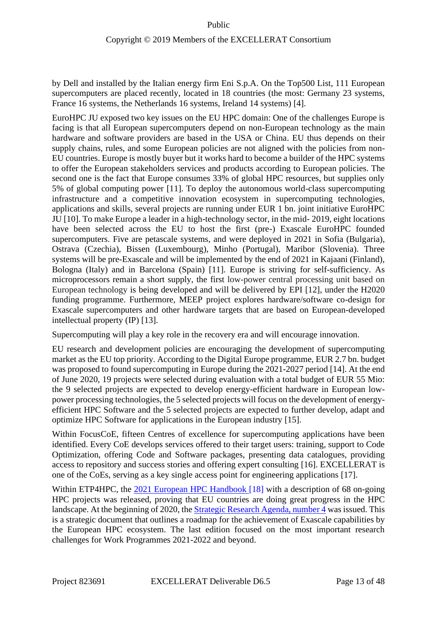by Dell and installed by the Italian energy firm Eni S.p.A. On the Top500 List, 111 European supercomputers are placed recently, located in 18 countries (the most: Germany 23 systems, France 16 systems, the Netherlands 16 systems, Ireland 14 systems) [4].

EuroHPC JU exposed two key issues on the EU HPC domain: One of the challenges Europe is facing is that all European supercomputers depend on non-European technology as the main hardware and software providers are based in the USA or China. EU thus depends on their supply chains, rules, and some European policies are not aligned with the policies from non-EU countries. Europe is mostly buyer but it works hard to become a builder of the HPC systems to offer the European stakeholders services and products according to European policies. The second one is the fact that Europe consumes 33% of global HPC resources, but supplies only 5% of global computing power [11]. To deploy the autonomous world-class supercomputing infrastructure and a competitive innovation ecosystem in supercomputing technologies, applications and skills, several projects are running under EUR 1 bn. joint initiative EuroHPC JU [10]. To make Europe a leader in a high-technology sector, in the mid- 2019, eight locations have been selected across the EU to host the first (pre-) Exascale EuroHPC founded supercomputers. Five are petascale systems, and were deployed in 2021 in Sofia (Bulgaria), Ostrava (Czechia), Bissen (Luxembourg), Minho (Portugal), Maribor (Slovenia). Three systems will be pre-Exascale and will be implemented by the end of 2021 in Kajaani (Finland), Bologna (Italy) and in Barcelona (Spain) [11]. Europe is striving for self-sufficiency. As microprocessors remain a short supply, the first low-power central processing unit based on European technology is being developed and will be delivered by EPI [12], under the H2020 funding programme. Furthermore, MEEP project explores hardware/software co-design for Exascale supercomputers and other hardware targets that are based on European-developed intellectual property (IP) [13].

Supercomputing will play a key role in the recovery era and will encourage innovation.

EU research and development policies are encouraging the development of supercomputing market as the EU top priority. According to the Digital Europe programme, EUR 2.7 bn. budget was proposed to found supercomputing in Europe during the 2021-2027 period [14]. At the end of June 2020, 19 projects were selected during evaluation with a total budget of EUR 55 Mio: the 9 selected projects are expected to develop energy-efficient hardware in European lowpower processing technologies, the 5 selected projects will focus on the development of energyefficient HPC Software and the 5 selected projects are expected to further develop, adapt and optimize HPC Software for applications in the European industry [15].

Within FocusCoE, fifteen Centres of excellence for supercomputing applications have been identified. Every CoE develops services offered to their target users: training, support to Code Optimization, offering Code and Software packages, presenting data catalogues, providing access to repository and success stories and offering expert consulting [16]. EXCELLERAT is one of the CoEs, serving as a key single access point for engineering applications [17].

Within ETP4HPC, the 2021 [European HPC Handbook](https://www.etp4hpc.eu/pujades/files/European%20HPC%20Handbook%202021%20final.pdf) [18] with a description of 68 on-going HPC projects was released, proving that EU countries are doing great progress in the HPC landscape. At the beginning of 2020, th[e Strategic Research Agenda, number 4](https://www.etp4hpc.eu/pujades/files/ETP4HPC_SRA4_2020_web(1).pdf) was issued. This is a strategic document that outlines a roadmap for the achievement of Exascale capabilities by the European HPC ecosystem. The last edition focused on the most important research challenges for Work Programmes 2021-2022 and beyond.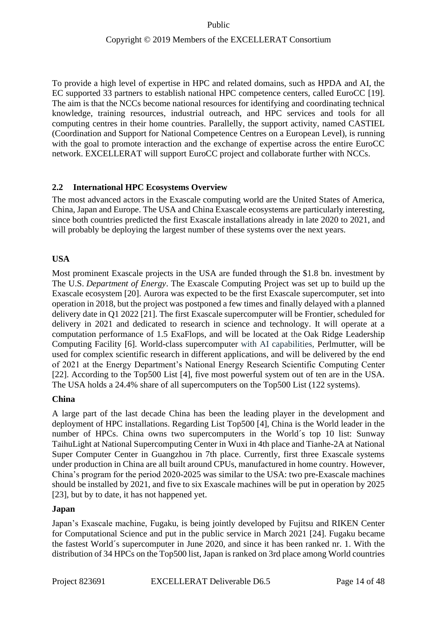To provide a high level of expertise in HPC and related domains, such as HPDA and AI, the EC supported 33 partners to establish national HPC competence centers, called EuroCC [19]. The aim is that the NCCs become national resources for identifying and coordinating technical knowledge, training resources, industrial outreach, and HPC services and tools for all computing centres in their home countries. Parallelly, the support activity, named CASTIEL (Coordination and Support for National Competence Centres on a European Level), is running with the goal to promote interaction and the exchange of expertise across the entire EuroCC network. EXCELLERAT will support EuroCC project and collaborate further with NCCs.

## <span id="page-13-0"></span>**2.2 International HPC Ecosystems Overview**

The most advanced actors in the Exascale computing world are the United States of America, China, Japan and Europe. The USA and China Exascale ecosystems are particularly interesting, since both countries predicted the first Exascale installations already in late 2020 to 2021, and will probably be deploying the largest number of these systems over the next years.

### **USA**

Most prominent Exascale projects in the USA are funded through the \$1.8 bn. investment by The U.S. *Department of Energy*. The Exascale Computing Project was set up to build up the Exascale ecosystem [20]. Aurora was expected to be the first Exascale supercomputer, set into operation in 2018, but the project was postponed a few times and finally delayed with a planned delivery date in Q1 2022 [21]. The first Exascale supercomputer will be Frontier, scheduled for delivery in 2021 and dedicated to research in science and technology. It will operate at a computation performance of 1.5 ExaFlops, and will be located at the Oak Ridge Leadership Computing Facility [6]. World-class supercomputer with AI capabilities, Perlmutter, will be used for complex scientific research in different applications, and will be delivered by the end of 2021 at the Energy Department's National Energy Research Scientific Computing Center [22]. According to the Top500 List [4], five most powerful system out of ten are in the USA. The USA holds a 24.4% share of all supercomputers on the Top500 List (122 systems).

### **China**

A large part of the last decade China has been the leading player in the development and deployment of HPC installations. Regarding List Top500 [4], China is the World leader in the number of HPCs. China owns two supercomputers in the World´s top 10 list: Sunway TaihuLight at National Supercomputing Center in Wuxi in 4th place and Tianhe-2A at National Super Computer Center in Guangzhou in 7th place. Currently, first three Exascale systems under production in China are all built around CPUs, manufactured in home country. However, China's program for the period 2020-2025 was similar to the USA: two pre-Exascale machines should be installed by 2021, and five to six Exascale machines will be put in operation by 2025 [23], but by to date, it has not happened yet.

### **Japan**

Japan's Exascale machine, [Fugaku,](https://www.r-ccs.riken.jp/en/overview/exascalepj) is being jointly developed by Fujitsu and RIKEN Center for Computational Science and put in the public service in March 2021 [24]. Fugaku became the fastest World´s supercomputer in June 2020, and since it has been ranked nr. 1. With the distribution of 34 HPCs on the Top500 list, Japan is ranked on 3rd place among World countries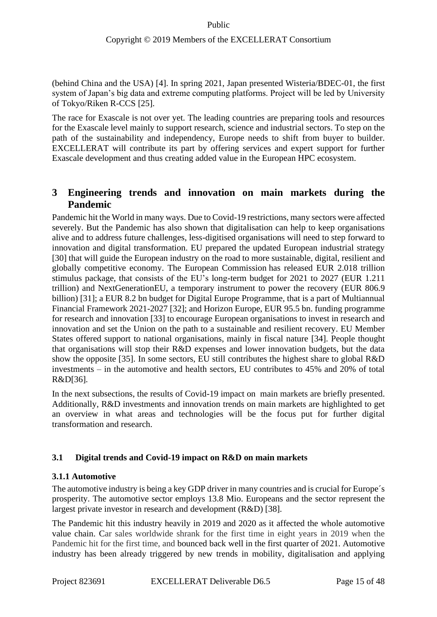(behind China and the USA) [4]. In spring 2021, Japan presented Wisteria/BDEC-01, the first system of Japan's big data and extreme computing platforms. Project will be led by University of Tokyo/Riken R-CCS [25].

The race for Exascale is not over yet. The leading countries are preparing tools and resources for the Exascale level mainly to support research, science and industrial sectors. To step on the path of the sustainability and independency, Europe needs to shift from buyer to builder. EXCELLERAT will contribute its part by offering services and expert support for further Exascale development and thus creating added value in the European HPC ecosystem.

## <span id="page-14-0"></span>**3 Engineering trends and innovation on main markets during the Pandemic**

Pandemic hit the World in many ways. Due to Covid-19 restrictions, many sectors were affected severely. But the Pandemic has also shown that digitalisation can help to keep organisations alive and to address future challenges, less-digitised organisations will need to step forward to innovation and digital transformation. EU prepared the updated European industrial strategy [30] that will guide the European industry on the road to more sustainable, digital, resilient and globally competitive economy. The European Commission has released EUR 2.018 trillion stimulus package, that consists of the EU's long-term budget for 2021 to 2027 (EUR 1.211 trillion) and NextGenerationEU, a temporary instrument to power the recovery (EUR 806.9 billion) [31]; a EUR 8.2 bn budget for Digital Europe Programme, that is a part of Multiannual Financial Framework 2021-2027 [32]; and Horizon Europe, EUR 95.5 bn. funding programme for research and innovation [33] to encourage European organisations to invest in research and innovation and set the Union on the path to a sustainable and resilient recovery. EU Member States offered support to national organisations, mainly in fiscal nature [34]. People thought that organisations will stop their R&D expenses and lower innovation budgets, but the data show the opposite [35]. In some sectors, EU still contributes the highest share to global R&D investments – in the automotive and health sectors, EU contributes to 45% and 20% of total R&D[36].

In the next subsections, the results of Covid-19 impact on main markets are briefly presented. Additionally, R&D investments and innovation trends on main markets are highlighted to get an overview in what areas and technologies will be the focus put for further digital transformation and research.

## <span id="page-14-1"></span>**3.1 Digital trends and Covid-19 impact on R&D on main markets**

### <span id="page-14-2"></span>**3.1.1 Automotive**

The automotive industry is being a key GDP driver in many countries and is crucial for Europe´s prosperity. The automotive sector employs 13.8 Mio. Europeans and the sector represent the largest private investor in research and development (R&D) [38].

The Pandemic hit this industry heavily in 2019 and 2020 as it affected the whole automotive value chain. Car sales worldwide shrank for the first time in eight years in 2019 when the Pandemic hit for the first time, and bounced back well in the first quarter of 2021. Automotive industry has been already triggered by new trends in mobility, digitalisation and applying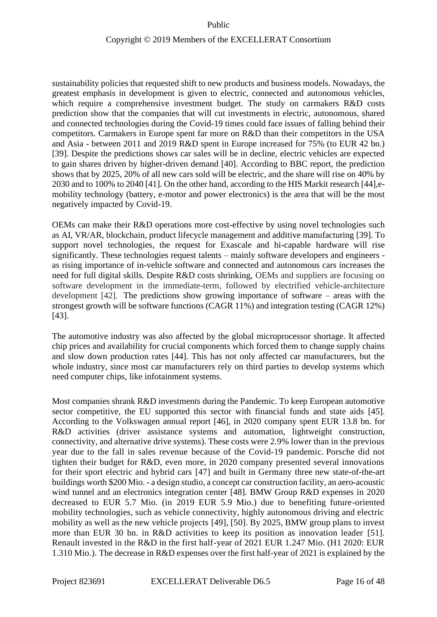### Copyright © 2019 Members of the EXCELLERAT Consortium

sustainability policies that requested shift to new products and business models. Nowadays, the greatest emphasis in development is given to electric, connected and autonomous vehicles, which require a comprehensive investment budget. The study on carmakers R&D costs prediction show that the companies that will cut investments in electric, autonomous, shared and connected technologies during the Covid-19 times could face issues of falling behind their competitors. Carmakers in Europe spent far more on R&D than their competitors in the USA and Asia - between 2011 and 2019 R&D spent in Europe increased for 75% (to EUR 42 bn.) [39]. Despite the predictions shows car sales will be in decline, electric vehicles are expected to gain shares driven by higher-driven demand [40]. According to BBC report, the prediction shows that by 2025, 20% of all new cars sold will be electric, and the share will rise on 40% by 2030 and to 100% to 2040 [41]. On the other hand, according to the HIS Markit research [44],emobility technology (battery, e-motor and power electronics) is the area that will be the most negatively impacted by Covid-19.

OEMs can make their R&D operations more cost-effective by using novel technologies such as AI, VR/AR, blockchain, product lifecycle management and additive manufacturing [39]. To support novel technologies, the request for Exascale and hi-capable hardware will rise significantly. These technologies request talents – mainly software developers and engineers as rising importance of in-vehicle software and connected and autonomous cars increases the need for full digital skills. Despite R&D costs shrinking, OEMs and suppliers are focusing on software development in the immediate-term, followed by electrified vehicle-architecture development [42]. The predictions show growing importance of software – areas with the strongest growth will be software functions (CAGR 11%) and integration testing (CAGR 12%) [43].

The automotive industry was also affected by the global microprocessor shortage. It affected chip prices and availability for crucial components which forced them to change supply chains and slow down production rates [44]. This has not only affected car manufacturers, but the whole industry, since most car manufacturers rely on third parties to develop systems which need computer chips, like infotainment systems.

Most companies shrank R&D investments during the Pandemic. To keep European automotive sector competitive, the EU supported this sector with financial funds and state aids [45]. According to the Volkswagen annual report [46], in 2020 company spent EUR 13.8 bn. for R&D activities (driver assistance systems and automation, lightweight construction, connectivity, and alternative drive systems). These costs were 2.9% lower than in the previous year due to the fall in sales revenue because of the Covid-19 pandemic. Porsche did not tighten their budget for R&D, even more, in 2020 company presented several innovations for their sport electric and hybrid cars [47] and built in Germany three new state-of-the-art buildings worth \$200 Mio. - a design studio, a concept car construction facility, an aero-acoustic wind tunnel and an electronics integration center [48]. BMW Group R&D expenses in 2020 decreased to EUR 5.7 Mio. (in 2019 EUR 5.9 Mio.) due to benefiting future-oriented mobility technologies, such as vehicle connectivity, highly autonomous driving and electric mobility as well as the new vehicle projects [49], [50]. By 2025, BMW group plans to invest more than EUR 30 bn. in R&D activities to keep its position as innovation leader [51]. Renault invested in the R&D in the first half-year of 2021 EUR 1.247 Mio. (H1 2020: EUR 1.310 Mio.). The decrease in R&D expenses over the first half-year of 2021 is explained by the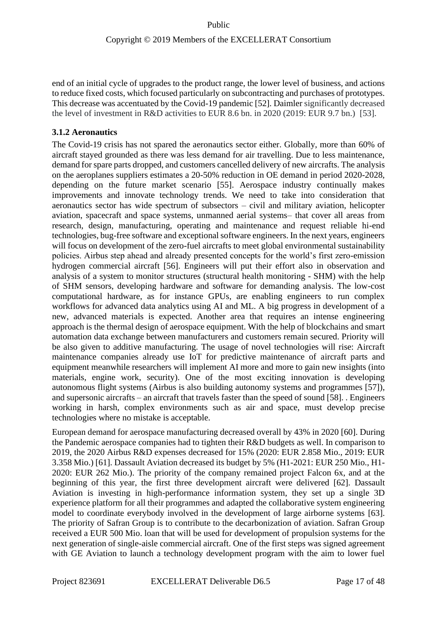end of an initial cycle of upgrades to the product range, the lower level of business, and actions to reduce fixed costs, which focused particularly on subcontracting and purchases of prototypes. This decrease was accentuated by the Covid-19 pandemic [52]. Daimler significantly decreased the level of investment in R&D activities to EUR 8.6 bn. in 2020 (2019: EUR 9.7 bn.) [53].

## <span id="page-16-0"></span>**3.1.2 Aeronautics**

The Covid-19 crisis has not spared the aeronautics sector either. Globally, more than 60% of aircraft stayed grounded as there was less demand for air travelling. Due to less maintenance, demand for spare parts dropped, and customers cancelled delivery of new aircrafts. The analysis on the aeroplanes suppliers estimates a 20-50% reduction in OE demand in period 2020-2028, depending on the future market scenario [55]. Aerospace industry continually makes improvements and innovate technology trends. We need to take into consideration that aeronautics sector has wide spectrum of subsectors – civil and military aviation, helicopter aviation, spacecraft and space systems, unmanned aerial systems– that cover all areas from research, design, manufacturing, operating and maintenance and request reliable hi-end technologies, bug-free software and exceptional software engineers. In the next years, engineers will focus on development of the zero-fuel aircrafts to meet global environmental sustainability policies. Airbus step ahead and already presented concepts for the world's first zero-emission hydrogen commercial aircraft [56]. Engineers will put their effort also in observation and analysis of a system to monitor structures (structural health monitoring - SHM) with the help of SHM sensors, developing hardware and software for demanding analysis. The low-cost computational hardware, as for instance GPUs, are enabling engineers to run complex workflows for advanced data analytics using AI and ML. A big progress in development of a new, advanced materials is expected. Another area that requires an intense engineering approach is the thermal design of aerospace equipment. With the help of blockchains and smart automation data exchange between manufacturers and customers remain secured. Priority will be also given to additive manufacturing. The usage of novel technologies will rise: Aircraft maintenance companies already use IoT for predictive maintenance of aircraft parts and equipment meanwhile researchers will implement AI more and more to gain new insights (into materials, engine work, security). One of the most exciting innovation is developing autonomous flight systems (Airbus is also building autonomy systems and programmes [57]), and supersonic aircrafts – an aircraft that travels faster than the speed of sound [58]. . Engineers working in harsh, complex environments such as air and space, must develop precise technologies where no mistake is acceptable.

European demand for aerospace manufacturing decreased overall by 43% in 2020 [60]. During the Pandemic aerospace companies had to tighten their R&D budgets as well. In comparison to 2019, the 2020 Airbus R&D expenses decreased for 15% (2020: EUR 2.858 Mio., 2019: EUR 3.358 Mio.) [61]. Dassault Aviation decreased its budget by 5% (H1-2021: EUR 250 Mio., H1- 2020: EUR 262 Mio.). The priority of the company remained project Falcon 6x, and at the beginning of this year, the first three development aircraft were delivered [62]. Dassault Aviation is investing in high-performance information system, they set up a single 3D experience platform for all their programmes and adapted the collaborative system engineering model to coordinate everybody involved in the development of large airborne systems [63]. The priority of Safran Group is to contribute to the decarbonization of aviation. Safran Group received a EUR 500 Mio. loan that will be used for development of propulsion systems for the next generation of single-aisle commercial aircraft. One of the first steps was signed agreement with GE Aviation to launch a technology development program with the aim to lower fuel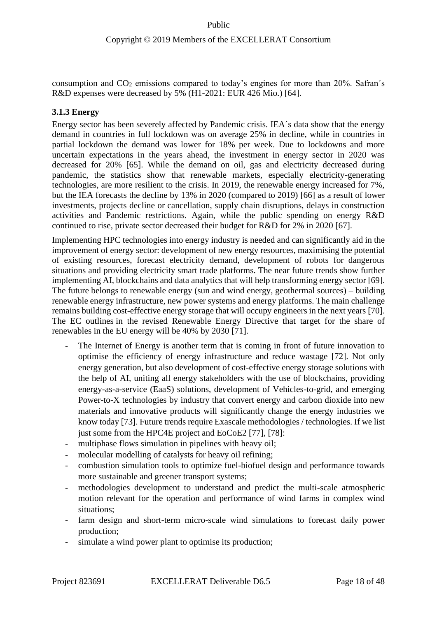consumption and  $CO<sub>2</sub>$  emissions compared to today's engines for more than 20%. Safran's R&D expenses were decreased by 5% (H1-2021: EUR 426 Mio.) [64].

### <span id="page-17-0"></span>**3.1.3 Energy**

Energy sector has been severely affected by Pandemic crisis. IEA´s data show that the energy demand in countries in full lockdown was on average 25% in decline, while in countries in partial lockdown the demand was lower for 18% per week. Due to lockdowns and more uncertain expectations in the years ahead, the investment in energy sector in 2020 was decreased for 20% [65]. While the demand on oil, gas and electricity decreased during pandemic, the statistics show that renewable markets, especially electricity-generating technologies, are more resilient to the crisis. In 2019, the renewable energy increased for 7%, but the IEA forecasts the decline by 13% in 2020 (compared to 2019) [66] as a result of lower investments, projects decline or cancellation, supply chain disruptions, delays in construction activities and Pandemic restrictions. Again, while the public spending on energy R&D continued to rise, private sector decreased their budget for R&D for 2% in 2020 [67].

Implementing HPC technologies into energy industry is needed and can significantly aid in the improvement of energy sector: development of new energy resources, maximising the potential of existing resources, forecast electricity demand, development of robots for dangerous situations and providing electricity smart trade platforms. The near future trends show further implementing AI, blockchains and data analytics that will help transforming energy sector [69]. The future belongs to renewable energy (sun and wind energy, geothermal sources) – building renewable energy infrastructure, new power systems and energy platforms. The main challenge remains building cost-effective energy storage that will occupy engineers in the next years [70]. The EC outlines in the revised Renewable Energy Directive that target for the share of renewables in the EU energy will be 40% by 2030 [71].

- The Internet of Energy is another term that is coming in front of future innovation to optimise the efficiency of energy infrastructure and reduce wastage [72]. Not only energy generation, but also development of cost-effective energy storage solutions with the help of AI, uniting all energy stakeholders with the use of blockchains, providing energy-as-a-service (EaaS) solutions, development of Vehicles-to-grid, and emerging Power-to-X technologies by industry that convert energy and carbon dioxide into new materials and innovative products will significantly change the energy industries we know today [73]. Future trends require Exascale methodologies / technologies. If we list just some from the HPC4E project and EoCoE2 [77], [78]:
- multiphase flows simulation in pipelines with heavy oil;
- molecular modelling of catalysts for heavy oil refining;
- combustion simulation tools to optimize fuel-biofuel design and performance towards more sustainable and greener transport systems;
- methodologies development to understand and predict the multi-scale atmospheric motion relevant for the operation and performance of wind farms in complex wind situations;
- farm design and short-term micro-scale wind simulations to forecast daily power production;
- simulate a wind power plant to optimise its production;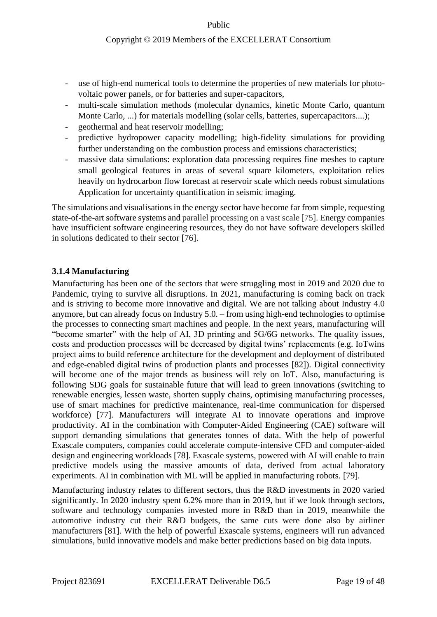#### Copyright © 2019 Members of the EXCELLERAT Consortium

- use of high-end numerical tools to determine the properties of new materials for photovoltaic power panels, or for batteries and super-capacitors,
- multi-scale simulation methods (molecular dynamics, kinetic Monte Carlo, quantum Monte Carlo, ...) for materials modelling (solar cells, batteries, supercapacitors....);
- geothermal and heat reservoir modelling;
- predictive hydropower capacity modelling; high-fidelity simulations for providing further understanding on the combustion process and emissions characteristics;
- massive data simulations: exploration data processing requires fine meshes to capture small geological features in areas of several square kilometers, exploitation relies heavily on hydrocarbon flow forecast at reservoir scale which needs robust simulations Application for uncertainty quantification in seismic imaging.

The simulations and visualisations in the energy sector have become far from simple, requesting state-of-the-art software systems and parallel processing on a vast scale [75]. Energy companies have insufficient software engineering resources, they do not have software developers skilled in solutions dedicated to their sector [76].

### <span id="page-18-0"></span>**3.1.4 Manufacturing**

Manufacturing has been one of the sectors that were struggling most in 2019 and 2020 due to Pandemic, trying to survive all disruptions. In 2021, manufacturing is coming back on track and is striving to become more innovative and digital. We are not talking about Industry 4.0 anymore, but can already focus on Industry 5.0. – from using high-end technologies to optimise the processes to connecting smart machines and people. In the next years, manufacturing will "become smarter" with the help of AI, 3D printing and 5G/6G networks. The quality issues, costs and production processes will be decreased by digital twins' replacements (e.g. IoTwins project aims to build reference architecture for the development and deployment of distributed and edge-enabled digital twins of production plants and processes [82]). Digital connectivity will become one of the major trends as business will rely on IoT. Also, manufacturing is following SDG goals for sustainable future that will lead to green innovations (switching to renewable energies, lessen waste, shorten supply chains, optimising manufacturing processes, use of smart machines for predictive maintenance, real-time communication for dispersed workforce) [77]. Manufacturers will integrate AI to innovate operations and improve productivity. AI in the combination with Computer-Aided Engineering (CAE) software will support demanding simulations that generates tonnes of data. With the help of powerful Exascale computers, companies could accelerate compute-intensive CFD and computer-aided design and engineering workloads [78]. Exascale systems, powered with AI will enable to train predictive models using the massive amounts of data, derived from actual laboratory experiments. AI in combination with ML will be applied in manufacturing robots. [79].

Manufacturing industry relates to different sectors, thus the R&D investments in 2020 varied significantly. In 2020 industry spent 6.2% more than in 2019, but if we look through sectors, software and technology companies invested more in R&D than in 2019, meanwhile the automotive industry cut their R&D budgets, the same cuts were done also by airliner manufacturers [81]. With the help of powerful Exascale systems, engineers will run advanced simulations, build innovative models and make better predictions based on big data inputs.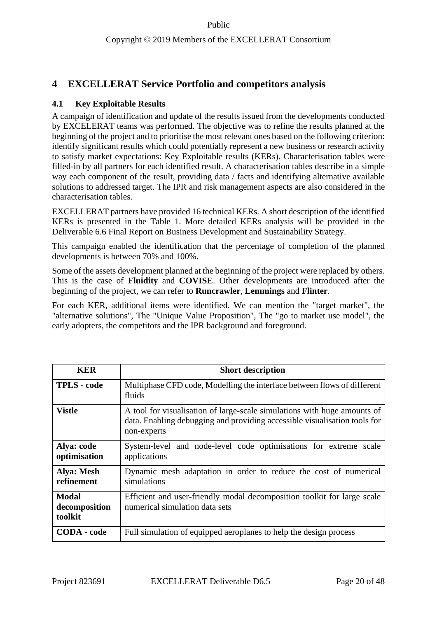## <span id="page-19-0"></span>**4 EXCELLERAT Service Portfolio and competitors analysis**

## <span id="page-19-1"></span>**4.1 Key Exploitable Results**

A campaign of identification and update of the results issued from the developments conducted by EXCELERAT teams was performed. The objective was to refine the results planned at the beginning of the project and to prioritise the most relevant ones based on the following criterion: identify significant results which could potentially represent a new business or research activity to satisfy market expectations: Key Exploitable results (KERs). Characterisation tables were filled-in by all partners for each identified result. A characterisation tables describe in a simple way each component of the result, providing data / facts and identifying alternative available solutions to addressed target. The IPR and risk management aspects are also considered in the characterisation tables.

EXCELLERAT partners have provided 16 technical KERs. A short description of the identified KERs is presented in the Table 1. More detailed KERs analysis will be provided in the Deliverable 6.6 Final Report on Business Development and Sustainability Strategy.

This campaign enabled the identification that the percentage of completion of the planned developments is between 70% and 100%.

Some of the assets development planned at the beginning of the project were replaced by others. This is the case of **Fluidity** and **COVISE**. Other developments are introduced after the beginning of the project, we can refer to **Runcrawler**, **Lemmings** and **Flinter**.

For each KER, additional items were identified. We can mention the "target market", the "alternative solutions", The "Unique Value Proposition", The "go to market use model", the early adopters, the competitors and the IPR background and foreground.

| <b>KER</b>                               | <b>Short description</b>                                                                                                                                             |
|------------------------------------------|----------------------------------------------------------------------------------------------------------------------------------------------------------------------|
| <b>TPLS</b> - code                       | Multiphase CFD code, Modelling the interface between flows of different<br>fluids                                                                                    |
| <b>Vistle</b>                            | A tool for visualisation of large-scale simulations with huge amounts of<br>data. Enabling debugging and providing accessible visualisation tools for<br>non-experts |
| Alya: code<br>optimisation               | System-level and node-level code optimisations for extreme scale<br>applications                                                                                     |
| Alya: Mesh<br>refinement                 | Dynamic mesh adaptation in order to reduce the cost of numerical<br>simulations                                                                                      |
| <b>Modal</b><br>decomposition<br>toolkit | Efficient and user-friendly modal decomposition toolkit for large scale<br>numerical simulation data sets                                                            |
| <b>CODA</b> - code                       | Full simulation of equipped aeroplanes to help the design process                                                                                                    |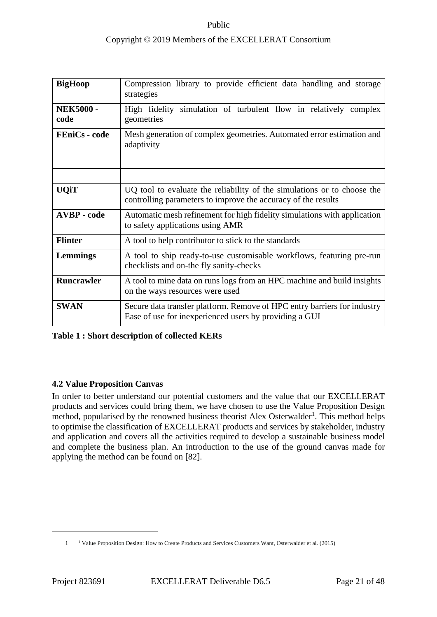## Copyright © 2019 Members of the EXCELLERAT Consortium

| <b>BigHoop</b>           | Compression library to provide efficient data handling and storage<br>strategies                                                         |  |
|--------------------------|------------------------------------------------------------------------------------------------------------------------------------------|--|
| <b>NEK5000 -</b><br>code | High fidelity<br>simulation of turbulent flow in relatively complex<br>geometries                                                        |  |
| <b>FEniCs</b> - code     | Mesh generation of complex geometries. Automated error estimation and<br>adaptivity                                                      |  |
|                          |                                                                                                                                          |  |
| <b>UQiT</b>              | UQ tool to evaluate the reliability of the simulations or to choose the<br>controlling parameters to improve the accuracy of the results |  |
| <b>AVBP</b> - code       | Automatic mesh refinement for high fidelity simulations with application<br>to safety applications using AMR                             |  |
| <b>Flinter</b>           | A tool to help contributor to stick to the standards                                                                                     |  |
| Lemmings                 | A tool to ship ready-to-use customisable workflows, featuring pre-run<br>checklists and on-the fly sanity-checks                         |  |
| Runcrawler               | A tool to mine data on runs logs from an HPC machine and build insights<br>on the ways resources were used                               |  |
| <b>SWAN</b>              | Secure data transfer platform. Remove of HPC entry barriers for industry<br>Ease of use for inexperienced users by providing a GUI       |  |

#### <span id="page-20-1"></span>**Table 1 : Short description of collected KERs**

#### <span id="page-20-0"></span>**4.2 Value Proposition Canvas**

In order to better understand our potential customers and the value that our EXCELLERAT products and services could bring them, we have chosen to use the Value Proposition Design method, popularised by the renowned business theorist Alex Osterwalder<sup>1</sup>. This method helps to optimise the classification of EXCELLERAT products and services by stakeholder, industry and application and covers all the activities required to develop a sustainable business model and complete the business plan. An introduction to the use of the ground canvas made for applying the method can be found on [82].

<sup>1</sup> <sup>1</sup> Value Proposition Design: How to Create Products and Services Customers Want, Osterwalder et al. (2015)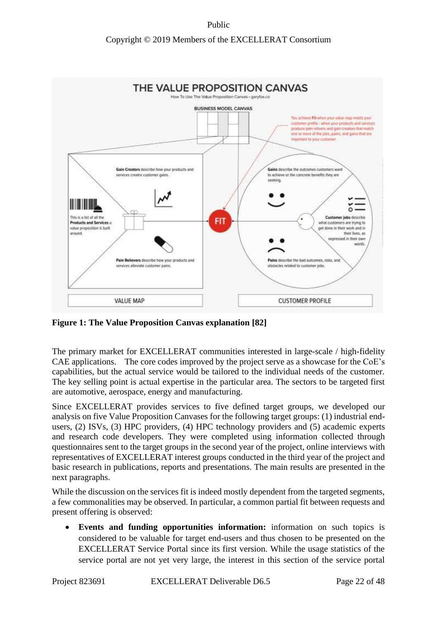## Copyright © 2019 Members of the EXCELLERAT Consortium



<span id="page-21-0"></span>**Figure 1: The Value Proposition Canvas explanation [82]**

The primary market for EXCELLERAT communities interested in large-scale / high-fidelity CAE applications. The core codes improved by the project serve as a showcase for the CoE's capabilities, but the actual service would be tailored to the individual needs of the customer. The key selling point is actual expertise in the particular area. The sectors to be targeted first are automotive, aerospace, energy and manufacturing.

Since EXCELLERAT provides services to five defined target groups, we developed our analysis on five Value Proposition Canvases for the following target groups: (1) industrial endusers, (2) ISVs, (3) HPC providers, (4) HPC technology providers and (5) academic experts and research code developers. They were completed using information collected through questionnaires sent to the target groups in the second year of the project, online interviews with representatives of EXCELLERAT interest groups conducted in the third year of the project and basic research in publications, reports and presentations. The main results are presented in the next paragraphs.

While the discussion on the services fit is indeed mostly dependent from the targeted segments, a few commonalities may be observed. In particular, a common partial fit between requests and present offering is observed:

• **Events and funding opportunities information:** information on such topics is considered to be valuable for target end-users and thus chosen to be presented on the EXCELLERAT Service Portal since its first version. While the usage statistics of the service portal are not yet very large, the interest in this section of the service portal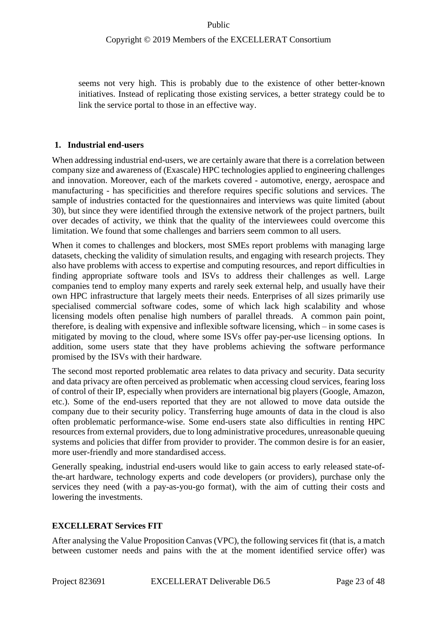seems not very high. This is probably due to the existence of other better-known initiatives. Instead of replicating those existing services, a better strategy could be to link the service portal to those in an effective way.

### **1. Industrial end-users**

When addressing industrial end-users, we are certainly aware that there is a correlation between company size and awareness of (Exascale) HPC technologies applied to engineering challenges and innovation. Moreover, each of the markets covered - automotive, energy, aerospace and manufacturing - has specificities and therefore requires specific solutions and services. The sample of industries contacted for the questionnaires and interviews was quite limited (about 30), but since they were identified through the extensive network of the project partners, built over decades of activity, we think that the quality of the interviewees could overcome this limitation. We found that some challenges and barriers seem common to all users.

When it comes to challenges and blockers, most SMEs report problems with managing large datasets, checking the validity of simulation results, and engaging with research projects. They also have problems with access to expertise and computing resources, and report difficulties in finding appropriate software tools and ISVs to address their challenges as well. Large companies tend to employ many experts and rarely seek external help, and usually have their own HPC infrastructure that largely meets their needs. Enterprises of all sizes primarily use specialised commercial software codes, some of which lack high scalability and whose licensing models often penalise high numbers of parallel threads. A common pain point, therefore, is dealing with expensive and inflexible software licensing, which – in some cases is mitigated by moving to the cloud, where some ISVs offer pay-per-use licensing options. In addition, some users state that they have problems achieving the software performance promised by the ISVs with their hardware.

The second most reported problematic area relates to data privacy and security. Data security and data privacy are often perceived as problematic when accessing cloud services, fearing loss of control of their IP, especially when providers are international big players (Google, Amazon, etc.). Some of the end-users reported that they are not allowed to move data outside the company due to their security policy. Transferring huge amounts of data in the cloud is also often problematic performance-wise. Some end-users state also difficulties in renting HPC resources from external providers, due to long administrative procedures, unreasonable queuing systems and policies that differ from provider to provider. The common desire is for an easier, more user-friendly and more standardised access.

Generally speaking, industrial end-users would like to gain access to early released state-ofthe-art hardware, technology experts and code developers (or providers), purchase only the services they need (with a pay-as-you-go format), with the aim of cutting their costs and lowering the investments.

## **EXCELLERAT Services FIT**

After analysing the Value Proposition Canvas (VPC), the following services fit (that is, a match between customer needs and pains with the at the moment identified service offer) was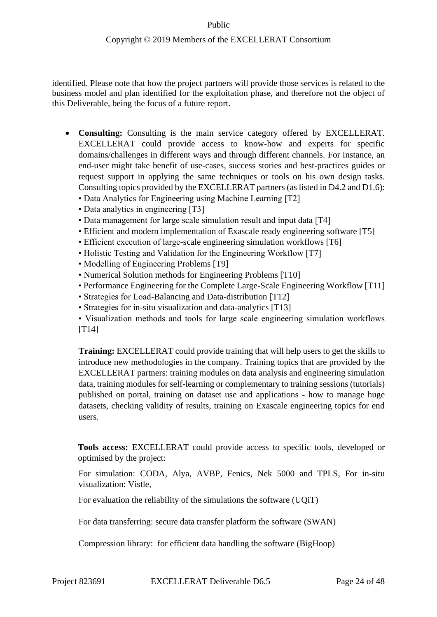identified. Please note that how the project partners will provide those services is related to the business model and plan identified for the exploitation phase, and therefore not the object of this Deliverable, being the focus of a future report.

- **Consulting:** Consulting is the main service category offered by EXCELLERAT. EXCELLERAT could provide access to know-how and experts for specific domains/challenges in different ways and through different channels. For instance, an end-user might take benefit of use-cases, success stories and best-practices guides or request support in applying the same techniques or tools on his own design tasks. Consulting topics provided by the EXCELLERAT partners (as listed in D4.2 and D1.6):
	- Data Analytics for Engineering using Machine Learning [T2]
	- Data analytics in engineering [T3]
	- Data management for large scale simulation result and input data [T4]
	- Efficient and modern implementation of Exascale ready engineering software [T5]
	- Efficient execution of large-scale engineering simulation workflows [T6]
	- Holistic Testing and Validation for the Engineering Workflow [T7]
	- Modelling of Engineering Problems [T9]
	- Numerical Solution methods for Engineering Problems [T10]
	- Performance Engineering for the Complete Large-Scale Engineering Workflow [T11]
	- Strategies for Load-Balancing and Data-distribution [T12]
	- Strategies for in-situ visualization and data-analytics [T13]
	- Visualization methods and tools for large scale engineering simulation workflows [T14]

**Training:** EXCELLERAT could provide training that will help users to get the skills to introduce new methodologies in the company. Training topics that are provided by the EXCELLERAT partners: training modules on data analysis and engineering simulation data, training modules for self-learning or complementary to training sessions (tutorials) published on portal, training on dataset use and applications - how to manage huge datasets, checking validity of results, training on Exascale engineering topics for end users.

**Tools access:** EXCELLERAT could provide access to specific tools, developed or optimised by the project:

For simulation: CODA, Alya, AVBP, Fenics, Nek 5000 and TPLS, For in-situ visualization: Vistle,

For evaluation the reliability of the simulations the software (UQiT)

For data transferring: secure data transfer platform the software (SWAN)

Compression library: for efficient data handling the software (BigHoop)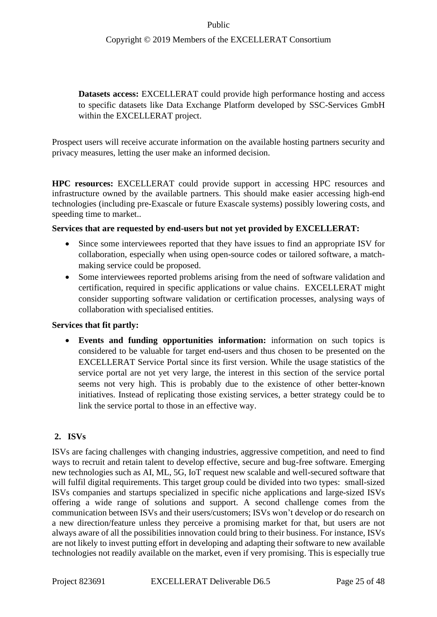**Datasets access:** EXCELLERAT could provide high performance hosting and access to specific datasets like Data Exchange Platform developed by SSC-Services GmbH within the EXCELLERAT project.

Prospect users will receive accurate information on the available hosting partners security and privacy measures, letting the user make an informed decision.

**HPC resources:** EXCELLERAT could provide support in accessing HPC resources and infrastructure owned by the available partners. This should make easier accessing high-end technologies (including pre-Exascale or future Exascale systems) possibly lowering costs, and speeding time to market..

### **Services that are requested by end-users but not yet provided by EXCELLERAT:**

- Since some interviewees reported that they have issues to find an appropriate ISV for collaboration, especially when using open-source codes or tailored software, a matchmaking service could be proposed.
- Some interviewees reported problems arising from the need of software validation and certification, required in specific applications or value chains. EXCELLERAT might consider supporting software validation or certification processes, analysing ways of collaboration with specialised entities.

### **Services that fit partly:**

• **Events and funding opportunities information:** information on such topics is considered to be valuable for target end-users and thus chosen to be presented on the EXCELLERAT Service Portal since its first version. While the usage statistics of the service portal are not yet very large, the interest in this section of the service portal seems not very high. This is probably due to the existence of other better-known initiatives. Instead of replicating those existing services, a better strategy could be to link the service portal to those in an effective way.

## **2. ISVs**

ISVs are facing challenges with changing industries, aggressive competition, and need to find ways to recruit and retain talent to develop effective, secure and bug-free software. Emerging new technologies such as AI, ML, 5G, IoT request new scalable and well-secured software that will fulfil digital requirements. This target group could be divided into two types: small-sized ISVs companies and startups specialized in specific niche applications and large-sized ISVs offering a wide range of solutions and support. A second challenge comes from the communication between ISVs and their users/customers; ISVs won't develop or do research on a new direction/feature unless they perceive a promising market for that, but users are not always aware of all the possibilities innovation could bring to their business. For instance, ISVs are not likely to invest putting effort in developing and adapting their software to new available technologies not readily available on the market, even if very promising. This is especially true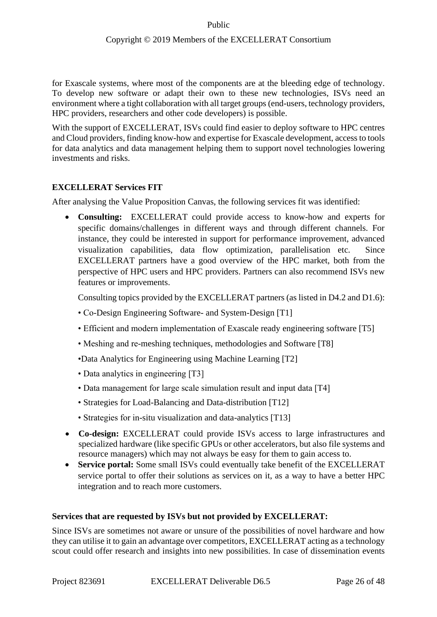for Exascale systems, where most of the components are at the bleeding edge of technology. To develop new software or adapt their own to these new technologies, ISVs need an environment where a tight collaboration with all target groups (end-users, technology providers, HPC providers, researchers and other code developers) is possible.

With the support of EXCELLERAT, ISVs could find easier to deploy software to HPC centres and Cloud providers, finding know-how and expertise for Exascale development, access to tools for data analytics and data management helping them to support novel technologies lowering investments and risks.

### **EXCELLERAT Services FIT**

After analysing the Value Proposition Canvas, the following services fit was identified:

• **Consulting:** EXCELLERAT could provide access to know-how and experts for specific domains/challenges in different ways and through different channels. For instance, they could be interested in support for performance improvement, advanced visualization capabilities, data flow optimization, parallelisation etc. Since EXCELLERAT partners have a good overview of the HPC market, both from the perspective of HPC users and HPC providers. Partners can also recommend ISVs new features or improvements.

Consulting topics provided by the EXCELLERAT partners (as listed in D4.2 and D1.6):

- Co-Design Engineering Software- and System-Design [T1]
- Efficient and modern implementation of Exascale ready engineering software [T5]
- Meshing and re-meshing techniques, methodologies and Software [T8]
- •Data Analytics for Engineering using Machine Learning [T2]
- Data analytics in engineering [T3]
- Data management for large scale simulation result and input data [T4]
- Strategies for Load-Balancing and Data-distribution [T12]
- Strategies for in-situ visualization and data-analytics [T13]
- **Co-design:** EXCELLERAT could provide ISVs access to large infrastructures and specialized hardware (like specific GPUs or other accelerators, but also file systems and resource managers) which may not always be easy for them to gain access to.
- **Service portal:** Some small ISVs could eventually take benefit of the EXCELLERAT service portal to offer their solutions as services on it, as a way to have a better HPC integration and to reach more customers.

#### **Services that are requested by ISVs but not provided by EXCELLERAT:**

Since ISVs are sometimes not aware or unsure of the possibilities of novel hardware and how they can utilise it to gain an advantage over competitors, EXCELLERAT acting as a technology scout could offer research and insights into new possibilities. In case of dissemination events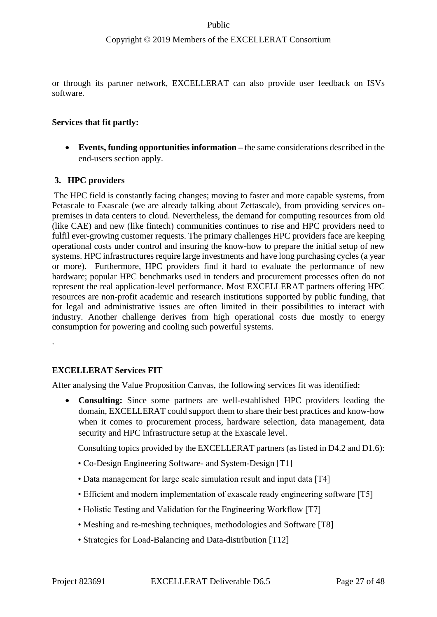### Copyright © 2019 Members of the EXCELLERAT Consortium

or through its partner network, EXCELLERAT can also provide user feedback on ISVs software.

#### **Services that fit partly:**

• **Events, funding opportunities information –** the same considerations described in the end-users section apply.

### **3. HPC providers**

The HPC field is constantly facing changes; moving to faster and more capable systems, from Petascale to Exascale (we are already talking about Zettascale), from providing services onpremises in data centers to cloud. Nevertheless, the demand for computing resources from old (like CAE) and new (like fintech) communities continues to rise and HPC providers need to fulfil ever-growing customer requests. The primary challenges HPC providers face are keeping operational costs under control and insuring the know-how to prepare the initial setup of new systems. HPC infrastructures require large investments and have long purchasing cycles (a year or more). Furthermore, HPC providers find it hard to evaluate the performance of new hardware; popular HPC benchmarks used in tenders and procurement processes often do not represent the real application-level performance. Most EXCELLERAT partners offering HPC resources are non-profit academic and research institutions supported by public funding, that for legal and administrative issues are often limited in their possibilities to interact with industry. Another challenge derives from high operational costs due mostly to energy consumption for powering and cooling such powerful systems.

#### **EXCELLERAT Services FIT**

.

After analysing the Value Proposition Canvas, the following services fit was identified:

• **Consulting:** Since some partners are well-established HPC providers leading the domain, EXCELLERAT could support them to share their best practices and know-how when it comes to procurement process, hardware selection, data management, data security and HPC infrastructure setup at the Exascale level.

Consulting topics provided by the EXCELLERAT partners (as listed in D4.2 and D1.6):

- Co-Design Engineering Software- and System-Design [T1]
- Data management for large scale simulation result and input data [T4]
- Efficient and modern implementation of exascale ready engineering software [T5]
- Holistic Testing and Validation for the Engineering Workflow [T7]
- Meshing and re-meshing techniques, methodologies and Software [T8]
- Strategies for Load-Balancing and Data-distribution [T12]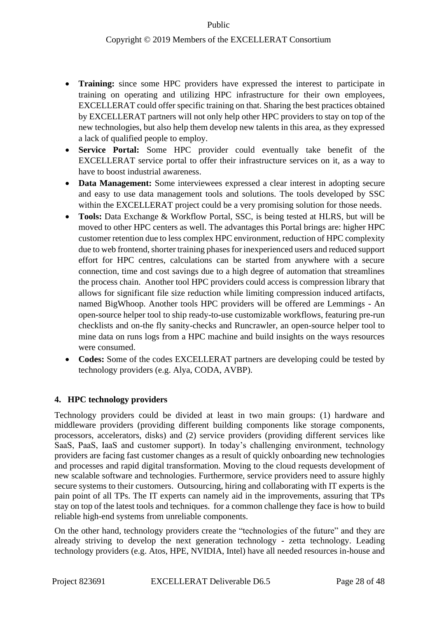- **Training:** since some HPC providers have expressed the interest to participate in training on operating and utilizing HPC infrastructure for their own employees, EXCELLERAT could offer specific training on that. Sharing the best practices obtained by EXCELLERAT partners will not only help other HPC providers to stay on top of the new technologies, but also help them develop new talents in this area, as they expressed a lack of qualified people to employ.
- **Service Portal:** Some HPC provider could eventually take benefit of the EXCELLERAT service portal to offer their infrastructure services on it, as a way to have to boost industrial awareness.
- **Data Management:** Some interviewees expressed a clear interest in adopting secure and easy to use data management tools and solutions. The tools developed by SSC within the EXCELLERAT project could be a very promising solution for those needs.
- **Tools:** Data Exchange & Workflow Portal, SSC, is being tested at HLRS, but will be moved to other HPC centers as well. The advantages this Portal brings are: higher HPC customer retention due to less complex HPC environment, reduction of HPC complexity due to web frontend, shorter training phases for inexperienced users and reduced support effort for HPC centres, calculations can be started from anywhere with a secure connection, time and cost savings due to a high degree of automation that streamlines the process chain. Another tool HPC providers could access is compression library that allows for significant file size reduction while limiting compression induced artifacts, named BigWhoop. Another tools HPC providers will be offered are Lemmings - An open-source helper tool to ship ready-to-use customizable workflows, featuring pre-run checklists and on-the fly sanity-checks and Runcrawler, an open-source helper tool to mine data on runs logs from a HPC machine and build insights on the ways resources were consumed.
- **Codes:** Some of the codes EXCELLERAT partners are developing could be tested by technology providers (e.g. Alya, CODA, AVBP).

### **4. HPC technology providers**

Technology providers could be divided at least in two main groups: (1) hardware and middleware providers (providing different building components like storage components, processors, accelerators, disks) and (2) service providers (providing different services like SaaS, PaaS, IaaS and customer support). In today's challenging environment, technology providers are facing fast customer changes as a result of quickly onboarding new technologies and processes and rapid digital transformation. Moving to the cloud requests development of new scalable software and technologies. Furthermore, service providers need to assure highly secure systems to their customers. Outsourcing, hiring and collaborating with IT experts is the pain point of all TPs. The IT experts can namely aid in the improvements, assuring that TPs stay on top of the latest tools and techniques. for a common challenge they face is how to build reliable high-end systems from unreliable components.

On the other hand, technology providers create the "technologies of the future" and they are already striving to develop the next generation technology - zetta technology. Leading technology providers (e.g. Atos, HPE, NVIDIA, Intel) have all needed resources in-house and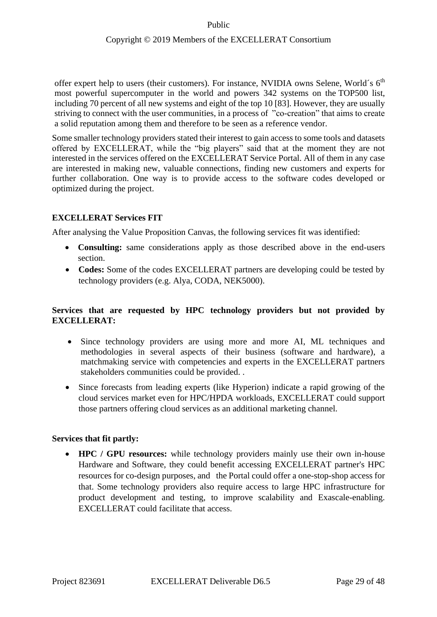offer expert help to users (their customers). For instance, NVIDIA owns Selene, World's  $6<sup>th</sup>$ most powerful supercomputer in the world and powers 342 systems on the TOP500 list, including 70 percent of all new systems and eight of the top 10 [83]. However, they are usually striving to connect with the user communities, in a process of "co-creation" that aims to create a solid reputation among them and therefore to be seen as a reference vendor.

Some smaller technology providers stated their interest to gain access to some tools and datasets offered by EXCELLERAT, while the "big players" said that at the moment they are not interested in the services offered on the EXCELLERAT Service Portal. All of them in any case are interested in making new, valuable connections, finding new customers and experts for further collaboration. One way is to provide access to the software codes developed or optimized during the project.

### **EXCELLERAT Services FIT**

After analysing the Value Proposition Canvas, the following services fit was identified:

- **Consulting:** same considerations apply as those described above in the end-users section.
- **Codes:** Some of the codes EXCELLERAT partners are developing could be tested by technology providers (e.g. Alya, CODA, NEK5000).

### **Services that are requested by HPC technology providers but not provided by EXCELLERAT:**

- Since technology providers are using more and more AI, ML techniques and methodologies in several aspects of their business (software and hardware), a matchmaking service with competencies and experts in the EXCELLERAT partners stakeholders communities could be provided. .
- Since forecasts from leading experts (like Hyperion) indicate a rapid growing of the cloud services market even for HPC/HPDA workloads, EXCELLERAT could support those partners offering cloud services as an additional marketing channel.

### **Services that fit partly:**

• **HPC / GPU resources:** while technology providers mainly use their own in-house Hardware and Software, they could benefit accessing EXCELLERAT partner's HPC resources for co-design purposes, and the Portal could offer a one-stop-shop access for that. Some technology providers also require access to large HPC infrastructure for product development and testing, to improve scalability and Exascale-enabling. EXCELLERAT could facilitate that access.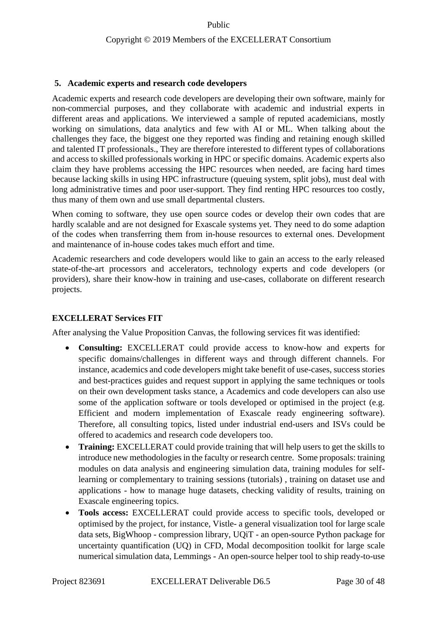### **5. Academic experts and research code developers**

Academic experts and research code developers are developing their own software, mainly for non-commercial purposes, and they collaborate with academic and industrial experts in different areas and applications. We interviewed a sample of reputed academicians, mostly working on simulations, data analytics and few with AI or ML. When talking about the challenges they face, the biggest one they reported was finding and retaining enough skilled and talented IT professionals., They are therefore interested to different types of collaborations and access to skilled professionals working in HPC or specific domains. Academic experts also claim they have problems accessing the HPC resources when needed, are facing hard times because lacking skills in using HPC infrastructure (queuing system, split jobs), must deal with long administrative times and poor user-support. They find renting HPC resources too costly, thus many of them own and use small departmental clusters.

When coming to software, they use open source codes or develop their own codes that are hardly scalable and are not designed for Exascale systems yet. They need to do some adaption of the codes when transferring them from in-house resources to external ones. Development and maintenance of in-house codes takes much effort and time.

Academic researchers and code developers would like to gain an access to the early released state-of-the-art processors and accelerators, technology experts and code developers (or providers), share their know-how in training and use-cases, collaborate on different research projects.

### **EXCELLERAT Services FIT**

After analysing the Value Proposition Canvas, the following services fit was identified:

- **Consulting:** EXCELLERAT could provide access to know-how and experts for specific domains/challenges in different ways and through different channels. For instance, academics and code developers might take benefit of use-cases, success stories and best-practices guides and request support in applying the same techniques or tools on their own development tasks stance, a Academics and code developers can also use some of the application software or tools developed or optimised in the project (e.g. Efficient and modern implementation of Exascale ready engineering software). Therefore, all consulting topics, listed under industrial end-users and ISVs could be offered to academics and research code developers too.
- **Training:** EXCELLERAT could provide training that will help users to get the skills to introduce new methodologies in the faculty or research centre. Some proposals: training modules on data analysis and engineering simulation data, training modules for selflearning or complementary to training sessions (tutorials) , training on dataset use and applications - how to manage huge datasets, checking validity of results, training on Exascale engineering topics.
- **Tools access:** EXCELLERAT could provide access to specific tools, developed or optimised by the project, for instance, Vistle- a general visualization tool for large scale data sets, BigWhoop - compression library, UQiT - an open-source Python package for uncertainty quantification (UQ) in CFD, Modal decomposition toolkit for large scale numerical simulation data, Lemmings - An open-source helper tool to ship ready-to-use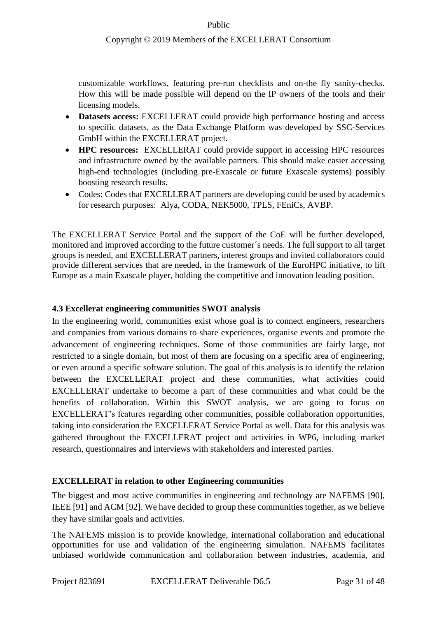### Copyright © 2019 Members of the EXCELLERAT Consortium

customizable workflows, featuring pre-run checklists and on-the fly sanity-checks. How this will be made possible will depend on the IP owners of the tools and their licensing models.

- **Datasets access:** EXCELLERAT could provide high performance hosting and access to specific datasets, as the Data Exchange Platform was developed by SSC-Services GmbH within the EXCELLERAT project.
- **HPC resources:** EXCELLERAT could provide support in accessing HPC resources and infrastructure owned by the available partners. This should make easier accessing high-end technologies (including pre-Exascale or future Exascale systems) possibly boosting research results.
- Codes: Codes that EXCELLERAT partners are developing could be used by academics for research purposes: Alya, CODA, NEK5000, TPLS, FEniCs, AVBP.

The EXCELLERAT Service Portal and the support of the CoE will be further developed, monitored and improved according to the future customer´s needs. The full support to all target groups is needed, and EXCELLERAT partners, interest groups and invited collaborators could provide different services that are needed, in the framework of the EuroHPC initiative, to lift Europe as a main Exascale player, holding the competitive and innovation leading position.

### <span id="page-30-0"></span>**4.3 Excellerat engineering communities SWOT analysis**

In the engineering world, communities exist whose goal is to connect engineers, researchers and companies from various domains to share experiences, organise events and promote the advancement of engineering techniques. Some of those communities are fairly large, not restricted to a single domain, but most of them are focusing on a specific area of engineering, or even around a specific software solution. The goal of this analysis is to identify the relation between the EXCELLERAT project and these communities, what activities could EXCELLERAT undertake to become a part of these communities and what could be the benefits of collaboration. Within this SWOT analysis, we are going to focus on EXCELLERAT's features regarding other communities, possible collaboration opportunities, taking into consideration the EXCELLERAT Service Portal as well. Data for this analysis was gathered throughout the EXCELLERAT project and activities in WP6, including market research, questionnaires and interviews with stakeholders and interested parties.

### **EXCELLERAT in relation to other Engineering communities**

The biggest and most active communities in engineering and technology are NAFEMS [90], IEEE [91] and ACM [92]. We have decided to group these communities together, as we believe they have similar goals and activities.

The NAFEMS mission is to provide knowledge, international collaboration and educational opportunities for use and validation of the engineering simulation. NAFEMS facilitates unbiased worldwide communication and collaboration between industries, academia, and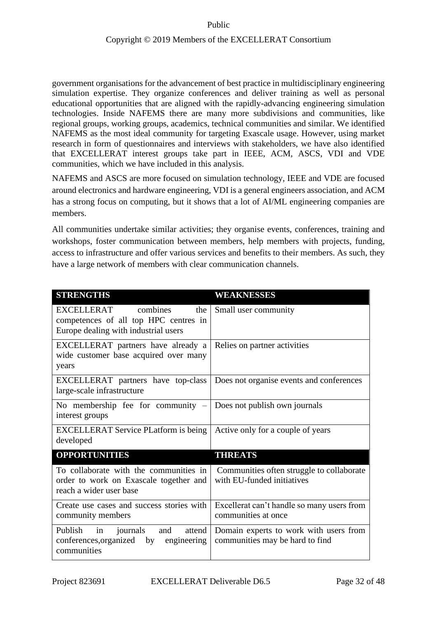government organisations for the advancement of best practice in multidisciplinary engineering simulation expertise. They organize conferences and deliver training as well as personal educational opportunities that are aligned with the rapidly-advancing engineering simulation technologies. Inside NAFEMS there are many more subdivisions and communities, like regional groups, working groups, academics, technical communities and similar. We identified NAFEMS as the most ideal community for targeting Exascale usage. However, using market research in form of questionnaires and interviews with stakeholders, we have also identified that EXCELLERAT interest groups take part in IEEE, ACM, ASCS, VDI and VDE communities, which we have included in this analysis.

NAFEMS and ASCS are more focused on simulation technology, IEEE and VDE are focused around electronics and hardware engineering, VDI is a general engineers association, and ACM has a strong focus on computing, but it shows that a lot of AI/ML engineering companies are members.

All communities undertake similar activities; they organise events, conferences, training and workshops, foster communication between members, help members with projects, funding, access to infrastructure and offer various services and benefits to their members. As such, they have a large network of members with clear communication channels.

| <b>STRENGTHS</b>                                                                                               | <b>WEAKNESSES</b>                                                         |
|----------------------------------------------------------------------------------------------------------------|---------------------------------------------------------------------------|
| EXCELLERAT<br>combines<br>the<br>competences of all top HPC centres in<br>Europe dealing with industrial users | Small user community                                                      |
| EXCELLERAT partners have already a<br>wide customer base acquired over many<br>years                           | Relies on partner activities                                              |
| EXCELLERAT partners have top-class<br>large-scale infrastructure                                               | Does not organise events and conferences                                  |
| No membership fee for community $-$<br>interest groups                                                         | Does not publish own journals                                             |
| <b>EXCELLERAT Service PLatform is being</b><br>developed                                                       | Active only for a couple of years                                         |
| <b>OPPORTUNITIES</b>                                                                                           | <b>THREATS</b>                                                            |
| To collaborate with the communities in<br>order to work on Exascale together and<br>reach a wider user base    | Communities often struggle to collaborate<br>with EU-funded initiatives   |
| Create use cases and success stories with<br>community members                                                 | Excellerat can't handle so many users from<br>communities at once         |
| Publish<br>in<br>and<br>attend<br>journals<br>conferences, organized by<br>engineering<br>communities          | Domain experts to work with users from<br>communities may be hard to find |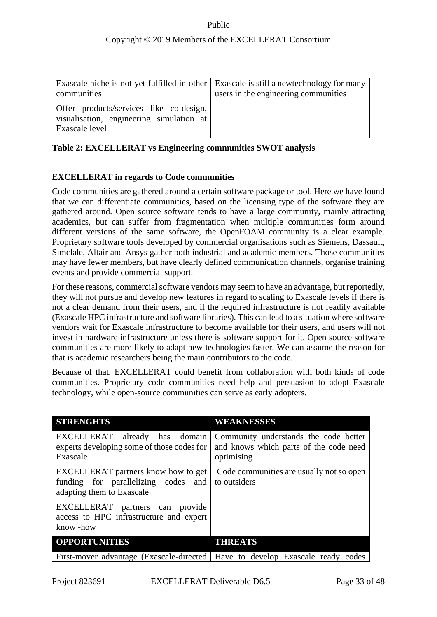| Exascale niche is not yet fulfilled in other Exascale is still a newtechnology for many<br>communities | users in the engineering communities |
|--------------------------------------------------------------------------------------------------------|--------------------------------------|
| Offer products/services like co-design,<br>visualisation, engineering simulation at<br>Exascale level  |                                      |

### <span id="page-32-0"></span>**Table 2: EXCELLERAT vs Engineering communities SWOT analysis**

## **EXCELLERAT in regards to Code communities**

Code communities are gathered around a certain software package or tool. Here we have found that we can differentiate communities, based on the licensing type of the software they are gathered around. Open source software tends to have a large community, mainly attracting academics, but can suffer from fragmentation when multiple communities form around different versions of the same software, the OpenFOAM community is a clear example. Proprietary software tools developed by commercial organisations such as Siemens, Dassault, Simclale, Altair and Ansys gather both industrial and academic members. Those communities may have fewer members, but have clearly defined communication channels, organise training events and provide commercial support.

For these reasons, commercial software vendors may seem to have an advantage, but reportedly, they will not pursue and develop new features in regard to scaling to Exascale levels if there is not a clear demand from their users, and if the required infrastructure is not readily available (Exascale HPC infrastructure and software libraries). This can lead to a situation where software vendors wait for Exascale infrastructure to become available for their users, and users will not invest in hardware infrastructure unless there is software support for it. Open source software communities are more likely to adapt new technologies faster. We can assume the reason for that is academic researchers being the main contributors to the code.

Because of that, EXCELLERAT could benefit from collaboration with both kinds of code communities. Proprietary code communities need help and persuasion to adopt Exascale technology, while open-source communities can serve as early adopters.

| <b>STRENGHTS</b>                                                                                        | <b>WEAKNESSES</b>                                                                             |
|---------------------------------------------------------------------------------------------------------|-----------------------------------------------------------------------------------------------|
| EXCELLERAT already has domain<br>experts developing some of those codes for<br>Exascale                 | Community understands the code better<br>and knows which parts of the code need<br>optimising |
| EXCELLERAT partners know how to get<br>funding for parallelizing codes and<br>adapting them to Exascale | Code communities are usually not so open<br>to outsiders                                      |
| EXCELLERAT partners can provide<br>access to HPC infrastructure and expert<br>know -how                 |                                                                                               |
| <b>OPPORTUNITIES</b>                                                                                    | <b>THREATS</b>                                                                                |
|                                                                                                         | First-mover advantage (Exascale-directed   Have to develop Exascale ready codes               |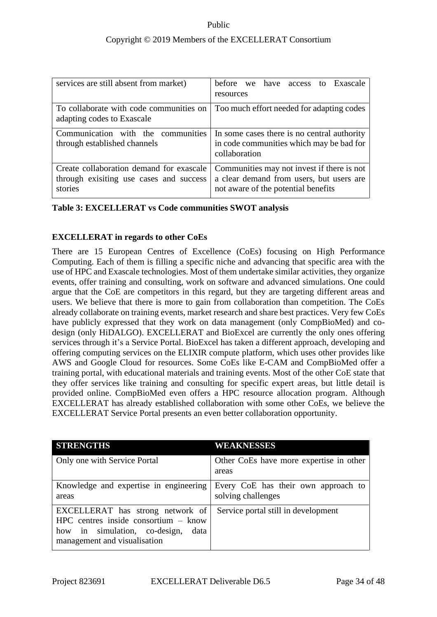| services are still absent from market)                                                         | before we<br>have access to Exascale<br>resources                                                                             |
|------------------------------------------------------------------------------------------------|-------------------------------------------------------------------------------------------------------------------------------|
| To collaborate with code communities on<br>adapting codes to Exascale                          | Too much effort needed for adapting codes                                                                                     |
| Communication with the communities<br>through established channels                             | In some cases there is no central authority<br>in code communities which may be bad for<br>collaboration                      |
| Create collaboration demand for exascale<br>through exisiting use cases and success<br>stories | Communities may not invest if there is not<br>a clear demand from users, but users are<br>not aware of the potential benefits |

### <span id="page-33-0"></span>**Table 3: EXCELLERAT vs Code communities SWOT analysis**

## **EXCELLERAT in regards to other CoEs**

There are 15 European Centres of Excellence (CoEs) focusing on High Performance Computing. Each of them is filling a specific niche and advancing that specific area with the use of HPC and Exascale technologies. Most of them undertake similar activities, they organize events, offer training and consulting, work on software and advanced simulations. One could argue that the CoE are competitors in this regard, but they are targeting different areas and users. We believe that there is more to gain from collaboration than competition. The CoEs already collaborate on training events, market research and share best practices. Very few CoEs have publicly expressed that they work on data management (only CompBioMed) and codesign (only HiDALGO). EXCELLERAT and BioExcel are currently the only ones offering services through it's a Service Portal. BioExcel has taken a different approach, developing and offering computing services on the ELIXIR compute platform, which uses other provides like AWS and Google Cloud for resources. Some CoEs like E-CAM and CompBioMed offer a training portal, with educational materials and training events. Most of the other CoE state that they offer services like training and consulting for specific expert areas, but little detail is provided online. CompBioMed even offers a HPC resource allocation program. Although EXCELLERAT has already established collaboration with some other CoEs, we believe the EXCELLERAT Service Portal presents an even better collaboration opportunity.

| <b>STRENGTHS</b>                                                                                                                                    | <b>WEAKNESSES</b>                                         |
|-----------------------------------------------------------------------------------------------------------------------------------------------------|-----------------------------------------------------------|
| Only one with Service Portal                                                                                                                        | Other CoEs have more expertise in other<br>areas          |
| Knowledge and expertise in engineering<br>areas                                                                                                     | Every CoE has their own approach to<br>solving challenges |
| EXCELLERAT has strong network of<br>$HPC$ centres inside consortium – know<br>how in simulation, co-design,<br>data<br>management and visualisation | Service portal still in development                       |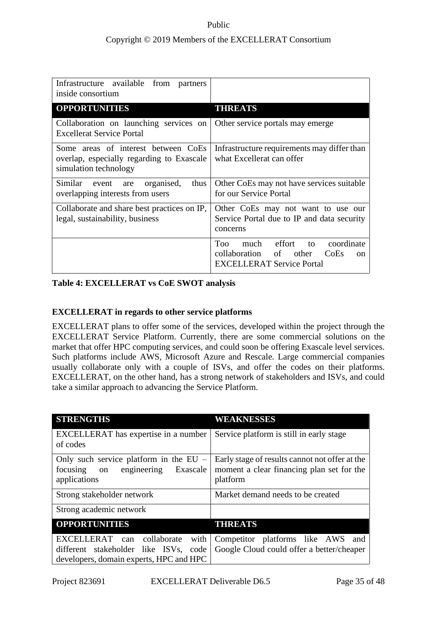| Infrastructure available from partners<br>inside consortium                                               |                                                                                                                                      |
|-----------------------------------------------------------------------------------------------------------|--------------------------------------------------------------------------------------------------------------------------------------|
| <b>OPPORTUNITIES</b>                                                                                      | <b>THREATS</b>                                                                                                                       |
| Collaboration on launching services on<br><b>Excellerat Service Portal</b>                                | Other service portals may emerge                                                                                                     |
| Some areas of interest between CoEs<br>overlap, especially regarding to Exascale<br>simulation technology | Infrastructure requirements may differ than<br>what Excellerat can offer                                                             |
| Similar event are<br>organised,<br>thus<br>overlapping interests from users                               | Other CoEs may not have services suitable<br>for our Service Portal                                                                  |
| Collaborate and share best practices on IP,<br>legal, sustainability, business                            | Other CoEs may not want to use our<br>Service Portal due to IP and data security<br>concerns                                         |
|                                                                                                           | much effort to<br><b>Too</b><br>coordinate<br>collaboration<br>of other<br>CoEs<br><sub>on</sub><br><b>EXCELLERAT Service Portal</b> |

### <span id="page-34-0"></span>**Table 4: EXCELLERAT vs CoE SWOT analysis**

## **EXCELLERAT in regards to other service platforms**

EXCELLERAT plans to offer some of the services, developed within the project through the EXCELLERAT Service Platform. Currently, there are some commercial solutions on the market that offer HPC computing services, and could soon be offering Exascale level services. Such platforms include AWS, Microsoft Azure and Rescale. Large commercial companies usually collaborate only with a couple of ISVs, and offer the codes on their platforms. EXCELLERAT, on the other hand, has a strong network of stakeholders and ISVs, and could take a similar approach to advancing the Service Platform.

| <b>STRENGTHS</b>                                                                                                       | WEAKNESSES                                                                                              |
|------------------------------------------------------------------------------------------------------------------------|---------------------------------------------------------------------------------------------------------|
| EXCELLERAT has expertise in a number<br>of codes                                                                       | Service platform is still in early stage                                                                |
| Only such service platform in the $EU$ –<br>focusing on<br>engineering<br>Exascale<br>applications                     | Early stage of results cannot not offer at the<br>moment a clear financing plan set for the<br>platform |
| Strong stakeholder network                                                                                             | Market demand needs to be created                                                                       |
| Strong academic network                                                                                                |                                                                                                         |
| <b>OPPORTUNITIES</b>                                                                                                   | <b>THREATS</b>                                                                                          |
| EXCELLERAT can collaborate<br>with<br>different stakeholder like ISVs, code<br>developers, domain experts, HPC and HPC | Competitor platforms like AWS<br>and<br>Google Cloud could offer a better/cheaper                       |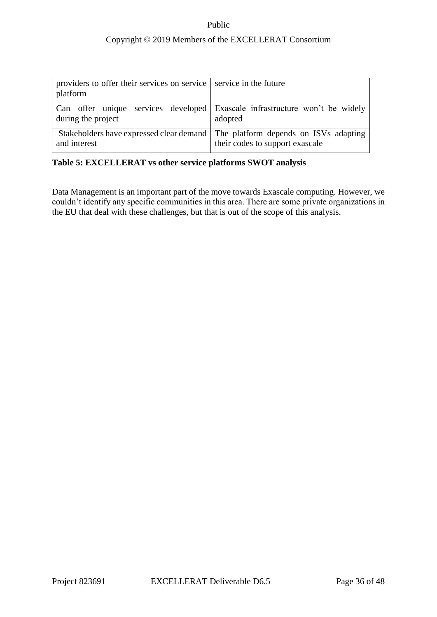| providers to offer their services on service service in the future<br>platform |                                                                                                                   |
|--------------------------------------------------------------------------------|-------------------------------------------------------------------------------------------------------------------|
| during the project                                                             | Can offer unique services developed Exascale infrastructure won't be widely<br>adopted                            |
| and interest                                                                   | Stakeholders have expressed clear demand The platform depends on ISVs adapting<br>their codes to support exascale |

## <span id="page-35-0"></span>**Table 5: EXCELLERAT vs other service platforms SWOT analysis**

Data Management is an important part of the move towards Exascale computing. However, we couldn't identify any specific communities in this area. There are some private organizations in the EU that deal with these challenges, but that is out of the scope of this analysis.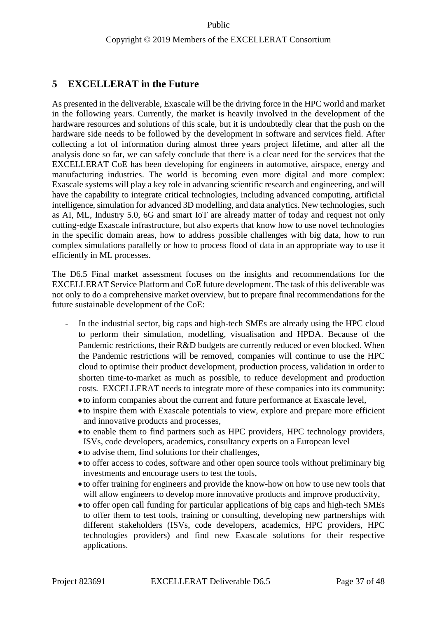## <span id="page-36-0"></span>**5 EXCELLERAT in the Future**

As presented in the deliverable, Exascale will be the driving force in the HPC world and market in the following years. Currently, the market is heavily involved in the development of the hardware resources and solutions of this scale, but it is undoubtedly clear that the push on the hardware side needs to be followed by the development in software and services field. After collecting a lot of information during almost three years project lifetime, and after all the analysis done so far, we can safely conclude that there is a clear need for the services that the EXCELLERAT CoE has been developing for engineers in automotive, airspace, energy and manufacturing industries. The world is becoming even more digital and more complex: Exascale systems will play a key role in advancing scientific research and engineering, and will have the capability to integrate critical technologies, including advanced computing, artificial intelligence, simulation for advanced 3D modelling, and data analytics. New technologies, such as AI, ML, Industry 5.0, 6G and smart IoT are already matter of today and request not only cutting-edge Exascale infrastructure, but also experts that know how to use novel technologies in the specific domain areas, how to address possible challenges with big data, how to run complex simulations parallelly or how to process flood of data in an appropriate way to use it efficiently in ML processes.

The D6.5 Final market assessment focuses on the insights and recommendations for the EXCELLERAT Service Platform and CoE future development. The task of this deliverable was not only to do a comprehensive market overview, but to prepare final recommendations for the future sustainable development of the CoE:

- In the industrial sector, big caps and high-tech SMEs are already using the HPC cloud to perform their simulation, modelling, visualisation and HPDA. Because of the Pandemic restrictions, their R&D budgets are currently reduced or even blocked. When the Pandemic restrictions will be removed, companies will continue to use the HPC cloud to optimise their product development, production process, validation in order to shorten time-to-market as much as possible, to reduce development and production costs. EXCELLERAT needs to integrate more of these companies into its community:
	- to inform companies about the current and future performance at Exascale level,
	- to inspire them with Exascale potentials to view, explore and prepare more efficient and innovative products and processes,
	- to enable them to find partners such as HPC providers, HPC technology providers, ISVs, code developers, academics, consultancy experts on a European level
	- to advise them, find solutions for their challenges,
	- to offer access to codes, software and other open source tools without preliminary big investments and encourage users to test the tools,
	- to offer training for engineers and provide the know-how on how to use new tools that will allow engineers to develop more innovative products and improve productivity,
	- to offer open call funding for particular applications of big caps and high-tech SMEs to offer them to test tools, training or consulting, developing new partnerships with different stakeholders (ISVs, code developers, academics, HPC providers, HPC technologies providers) and find new Exascale solutions for their respective applications.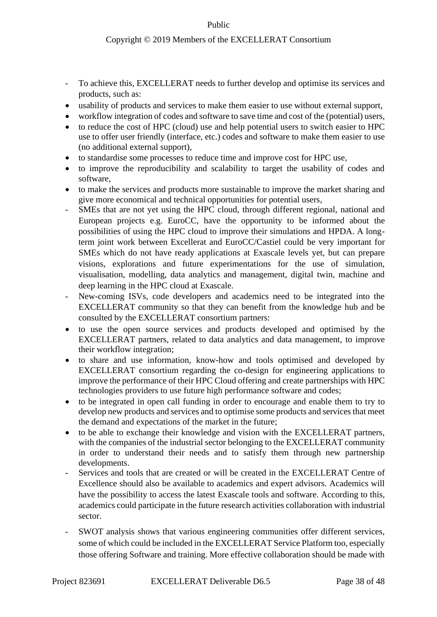- To achieve this, EXCELLERAT needs to further develop and optimise its services and products, such as:
- usability of products and services to make them easier to use without external support,
- workflow integration of codes and software to save time and cost of the (potential) users,
- to reduce the cost of HPC (cloud) use and help potential users to switch easier to HPC use to offer user friendly (interface, etc.) codes and software to make them easier to use (no additional external support),
- to standardise some processes to reduce time and improve cost for HPC use,
- to improve the reproducibility and scalability to target the usability of codes and software,
- to make the services and products more sustainable to improve the market sharing and give more economical and technical opportunities for potential users,
- SMEs that are not yet using the HPC cloud, through different regional, national and European projects e.g. EuroCC, have the opportunity to be informed about the possibilities of using the HPC cloud to improve their simulations and HPDA. A longterm joint work between Excellerat and EuroCC/Castiel could be very important for SMEs which do not have ready applications at Exascale levels yet, but can prepare visions, explorations and future experimentations for the use of simulation, visualisation, modelling, data analytics and management, digital twin, machine and deep learning in the HPC cloud at Exascale.
- New-coming ISVs, code developers and academics need to be integrated into the EXCELLERAT community so that they can benefit from the knowledge hub and be consulted by the EXCELLERAT consortium partners:
- to use the open source services and products developed and optimised by the EXCELLERAT partners, related to data analytics and data management, to improve their workflow integration;
- to share and use information, know-how and tools optimised and developed by EXCELLERAT consortium regarding the co-design for engineering applications to improve the performance of their HPC Cloud offering and create partnerships with HPC technologies providers to use future high performance software and codes;
- to be integrated in open call funding in order to encourage and enable them to try to develop new products and services and to optimise some products and services that meet the demand and expectations of the market in the future;
- to be able to exchange their knowledge and vision with the EXCELLERAT partners, with the companies of the industrial sector belonging to the EXCELLERAT community in order to understand their needs and to satisfy them through new partnership developments.
- Services and tools that are created or will be created in the EXCELLERAT Centre of Excellence should also be available to academics and expert advisors. Academics will have the possibility to access the latest Exascale tools and software. According to this, academics could participate in the future research activities collaboration with industrial sector.
- SWOT analysis shows that various engineering communities offer different services, some of which could be included in the EXCELLERAT Service Platform too, especially those offering Software and training. More effective collaboration should be made with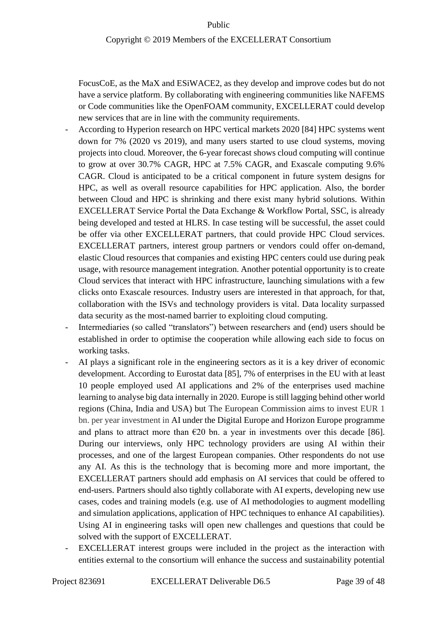FocusCoE, as the MaX and ESiWACE2, as they develop and improve codes but do not have a service platform. By collaborating with engineering communities like NAFEMS or Code communities like the OpenFOAM community, EXCELLERAT could develop new services that are in line with the community requirements.

- According to Hyperion research on HPC vertical markets 2020 [84] HPC systems went down for 7% (2020 vs 2019), and many users started to use cloud systems, moving projects into cloud. Moreover, the 6-year forecast shows cloud computing will continue to grow at over 30.7% CAGR, HPC at 7.5% CAGR, and Exascale computing 9.6% CAGR. Cloud is anticipated to be a critical component in future system designs for HPC, as well as overall resource capabilities for HPC application. Also, the border between Cloud and HPC is shrinking and there exist many hybrid solutions. Within EXCELLERAT Service Portal the Data Exchange & Workflow Portal, SSC, is already being developed and tested at HLRS. In case testing will be successful, the asset could be offer via other EXCELLERAT partners, that could provide HPC Cloud services. EXCELLERAT partners, interest group partners or vendors could offer on-demand, elastic Cloud resources that companies and existing HPC centers could use during peak usage, with resource management integration. Another potential opportunity is to create Cloud services that interact with HPC infrastructure, launching simulations with a few clicks onto Exascale resources. Industry users are interested in that approach, for that, collaboration with the ISVs and technology providers is vital. Data locality surpassed data security as the most-named barrier to exploiting cloud computing.
- Intermediaries (so called "translators") between researchers and (end) users should be established in order to optimise the cooperation while allowing each side to focus on working tasks.
- AI plays a significant role in the engineering sectors as it is a key driver of economic development. According to Eurostat data [85], 7% of enterprises in the E[U](https://ec.europa.eu/eurostat/statistics-explained/index.php/Glossary:European_Union_(EU)) with at least 10 people employed used AI applications and 2% of the enterprises used machine learning to analyse big data internally in 2020. Europe is still lagging behind other world regions (China, India and USA) but The European Commission aims to invest EUR 1 bn. per year investment in AI under the Digital Europe and Horizon Europe programme and plans to attract more than  $\epsilon$ 20 bn. a year in investments over this decade [86]. During our interviews, only HPC technology providers are using AI within their processes, and one of the largest European companies. Other respondents do not use any AI. As this is the technology that is becoming more and more important, the EXCELLERAT partners should add emphasis on AI services that could be offered to end-users. Partners should also tightly collaborate with AI experts, developing new use cases, codes and training models (e.g. use of AI methodologies to augment modelling and simulation applications, application of HPC techniques to enhance AI capabilities). Using AI in engineering tasks will open new challenges and questions that could be solved with the support of EXCELLERAT.
- EXCELLERAT interest groups were included in the project as the interaction with entities external to the consortium will enhance the success and sustainability potential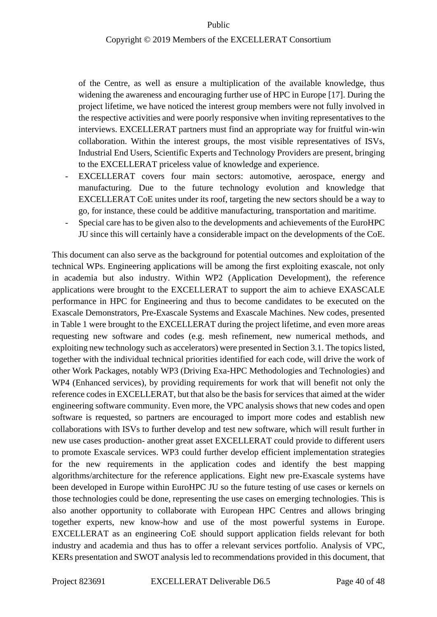#### Copyright © 2019 Members of the EXCELLERAT Consortium

of the Centre, as well as ensure a multiplication of the available knowledge, thus widening the awareness and encouraging further use of HPC in Europe [17]. During the project lifetime, we have noticed the interest group members were not fully involved in the respective activities and were poorly responsive when inviting representatives to the interviews. EXCELLERAT partners must find an appropriate way for fruitful win-win collaboration. Within the interest groups, the most visible representatives of ISVs, Industrial End Users, Scientific Experts and Technology Providers are present, bringing to the EXCELLERAT priceless value of knowledge and experience.

- EXCELLERAT covers four main sectors: automotive, aerospace, energy and manufacturing. Due to the future technology evolution and knowledge that EXCELLERAT CoE unites under its roof, targeting the new sectors should be a way to go, for instance, these could be additive manufacturing, transportation and maritime.
- Special care has to be given also to the developments and achievements of the EuroHPC JU since this will certainly have a considerable impact on the developments of the CoE.

This document can also serve as the background for potential outcomes and exploitation of the technical WPs. Engineering applications will be among the first exploiting exascale, not only in academia but also industry. Within WP2 (Application Development), the reference applications were brought to the EXCELLERAT to support the aim to achieve EXASCALE performance in HPC for Engineering and thus to become candidates to be executed on the Exascale Demonstrators, Pre-Exascale Systems and Exascale Machines. New codes, presented in Table 1 were brought to the EXCELLERAT during the project lifetime, and even more areas requesting new software and codes (e.g. mesh refinement, new numerical methods, and exploiting new technology such as accelerators) were presented in Section 3.1. The topics listed, together with the individual technical priorities identified for each code, will drive the work of other Work Packages, notably WP3 (Driving Exa-HPC Methodologies and Technologies) and WP4 (Enhanced services), by providing requirements for work that will benefit not only the reference codes in EXCELLERAT, but that also be the basis for services that aimed at the wider engineering software community. Even more, the VPC analysis shows that new codes and open software is requested, so partners are encouraged to import more codes and establish new collaborations with ISVs to further develop and test new software, which will result further in new use cases production- another great asset EXCELLERAT could provide to different users to promote Exascale services. WP3 could further develop efficient implementation strategies for the new requirements in the application codes and identify the best mapping algorithms/architecture for the reference applications. Eight new pre-Exascale systems have been developed in Europe within EuroHPC JU so the future testing of use cases or kernels on those technologies could be done, representing the use cases on emerging technologies. This is also another opportunity to collaborate with European HPC Centres and allows bringing together experts, new know-how and use of the most powerful systems in Europe. EXCELLERAT as an engineering CoE should support application fields relevant for both industry and academia and thus has to offer a relevant services portfolio. Analysis of VPC, KERs presentation and SWOT analysis led to recommendations provided in this document, that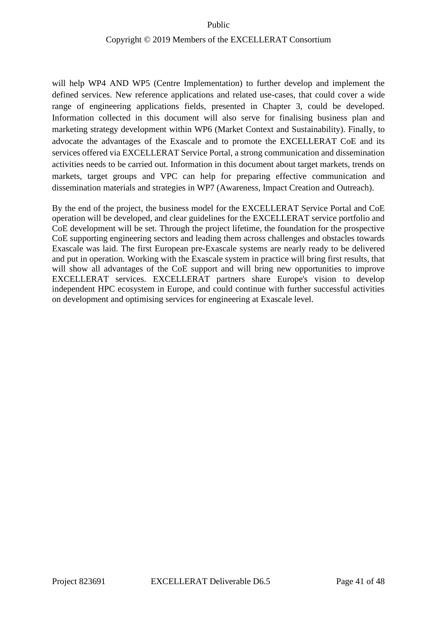will help WP4 AND WP5 (Centre Implementation) to further develop and implement the defined services. New reference applications and related use-cases, that could cover a wide range of engineering applications fields, presented in Chapter 3, could be developed. Information collected in this document will also serve for finalising business plan and marketing strategy development within WP6 (Market Context and Sustainability). Finally, to advocate the advantages of the Exascale and to promote the EXCELLERAT CoE and its services offered via EXCELLERAT Service Portal, a strong communication and dissemination activities needs to be carried out. Information in this document about target markets, trends on markets, target groups and VPC can help for preparing effective communication and dissemination materials and strategies in WP7 (Awareness, Impact Creation and Outreach).

By the end of the project, the business model for the EXCELLERAT Service Portal and CoE operation will be developed, and clear guidelines for the EXCELLERAT service portfolio and CoE development will be set. Through the project lifetime, the foundation for the prospective CoE supporting engineering sectors and leading them across challenges and obstacles towards Exascale was laid. The first European pre-Exascale systems are nearly ready to be delivered and put in operation. Working with the Exascale system in practice will bring first results, that will show all advantages of the CoE support and will bring new opportunities to improve EXCELLERAT services. EXCELLERAT partners share Europe's vision to develop independent HPC ecosystem in Europe, and could continue with further successful activities on development and optimising services for engineering at Exascale level.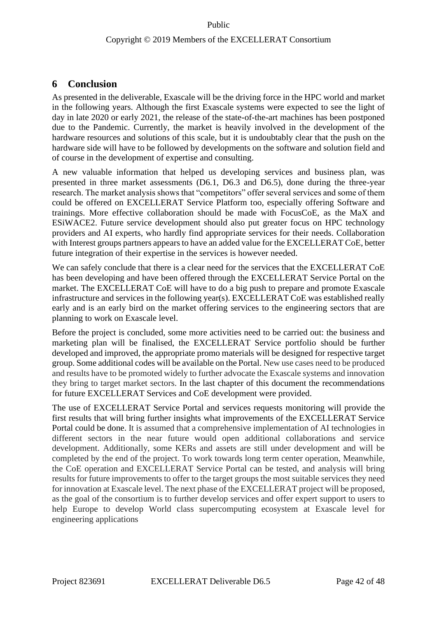## <span id="page-41-0"></span>**6 Conclusion**

As presented in the deliverable, Exascale will be the driving force in the HPC world and market in the following years. Although the first Exascale systems were expected to see the light of day in late 2020 or early 2021, the release of the state-of-the-art machines has been postponed due to the Pandemic. Currently, the market is heavily involved in the development of the hardware resources and solutions of this scale, but it is undoubtably clear that the push on the hardware side will have to be followed by developments on the software and solution field and of course in the development of expertise and consulting.

A new valuable information that helped us developing services and business plan, was presented in three market assessments (D6.1, D6.3 and D6.5), done during the three-year research. The market analysis shows that "competitors" offer several services and some of them could be offered on EXCELLERAT Service Platform too, especially offering Software and trainings. More effective collaboration should be made with FocusCoE, as the MaX and ESiWACE2. Future service development should also put greater focus on HPC technology providers and AI experts, who hardly find appropriate services for their needs. Collaboration with Interest groups partners appears to have an added value for the EXCELLERAT CoE, better future integration of their expertise in the services is however needed.

We can safely conclude that there is a clear need for the services that the EXCELLERAT CoE has been developing and have been offered through the EXCELLERAT Service Portal on the market. The EXCELLERAT CoE will have to do a big push to prepare and promote Exascale infrastructure and services in the following year(s). EXCELLERAT CoE was established really early and is an early bird on the market offering services to the engineering sectors that are planning to work on Exascale level.

Before the project is concluded, some more activities need to be carried out: the business and marketing plan will be finalised, the EXCELLERAT Service portfolio should be further developed and improved, the appropriate promo materials will be designed for respective target group. Some additional codes will be available on the Portal. New use cases need to be produced and results have to be promoted widely to further advocate the Exascale systems and innovation they bring to target market sectors. In the last chapter of this document the recommendations for future EXCELLERAT Services and CoE development were provided.

The use of EXCELLERAT Service Portal and services requests monitoring will provide the first results that will bring further insights what improvements of the EXCELLERAT Service Portal could be done. It is assumed that a comprehensive implementation of AI technologies in different sectors in the near future would open additional collaborations and service development. Additionally, some KERs and assets are still under development and will be completed by the end of the project. To work towards long term center operation, Meanwhile, the CoE operation and EXCELLERAT Service Portal can be tested, and analysis will bring results for future improvements to offer to the target groups the most suitable services they need for innovation at Exascale level. The next phase of the EXCELLERAT project will be proposed, as the goal of the consortium is to further develop services and offer expert support to users to help Europe to develop World class supercomputing ecosystem at Exascale level for engineering applications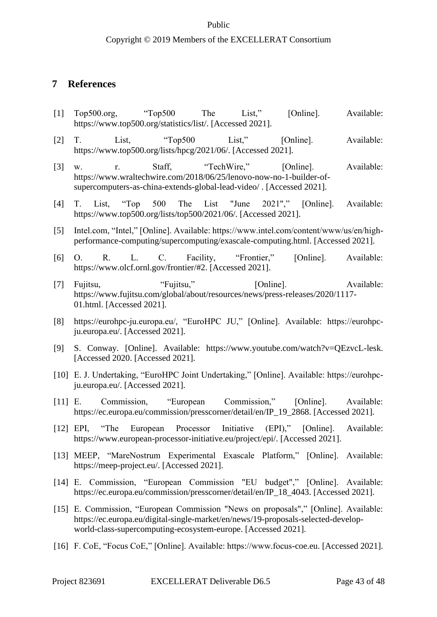### Copyright © 2019 Members of the EXCELLERAT Consortium

## <span id="page-42-0"></span>**7 References**

- [1] Top500.org, "Top500 The List," [Online]. Available: https://www.top500.org/statistics/list/. [Accessed 2021].
- [2] T. List, "Top500 List," [Online]. Available: https://www.top500.org/lists/hpcg/2021/06/. [Accessed 2021].
- [3] w. r. Staff, "TechWire," [Online]. Available: https://www.wraltechwire.com/2018/06/25/lenovo-now-no-1-builder-ofsupercomputers-as-china-extends-global-lead-video/ . [Accessed 2021].
- [4] T. List, "Top 500 The List "June 2021"," [Online]. Available: https://www.top500.org/lists/top500/2021/06/. [Accessed 2021].
- [5] Intel.com, "Intel," [Online]. Available: https://www.intel.com/content/www/us/en/highperformance-computing/supercomputing/exascale-computing.html. [Accessed 2021].
- [6] O. R. L. C. Facility, "Frontier," [Online]. Available: https://www.olcf.ornl.gov/frontier/#2. [Accessed 2021].
- [7] Fujitsu, "Fujitsu," [Online]. Available: https://www.fujitsu.com/global/about/resources/news/press-releases/2020/1117- 01.html. [Accessed 2021].
- [8] https://eurohpc-ju.europa.eu/, "EuroHPC JU," [Online]. Available: https://eurohpcju.europa.eu/. [Accessed 2021].
- [9] S. Conway. [Online]. Available: https://www.youtube.com/watch?v=QEzvcL-lesk. [Accessed 2020. [Accessed 2021].
- [10] E. J. Undertaking, "EuroHPC Joint Undertaking," [Online]. Available: https://eurohpcju.europa.eu/. [Accessed 2021].
- [11] E. Commission, "European Commission," [Online]. Available: https://ec.europa.eu/commission/presscorner/detail/en/IP\_19\_2868. [Accessed 2021].
- [12] EPI, "The European Processor Initiative (EPI)," [Online]. Available: https://www.european-processor-initiative.eu/project/epi/. [Accessed 2021].
- [13] MEEP, "MareNostrum Experimental Exascale Platform," [Online]. Available: https://meep-project.eu/. [Accessed 2021].
- [14] E. Commission, "European Commission "EU budget"," [Online]. Available: https://ec.europa.eu/commission/presscorner/detail/en/IP\_18\_4043. [Accessed 2021].
- [15] E. Commission, "European Commission "News on proposals"," [Online]. Available: https://ec.europa.eu/digital-single-market/en/news/19-proposals-selected-developworld-class-supercomputing-ecosystem-europe. [Accessed 2021].
- [16] F. CoE, "Focus CoE," [Online]. Available: https://www.focus-coe.eu. [Accessed 2021].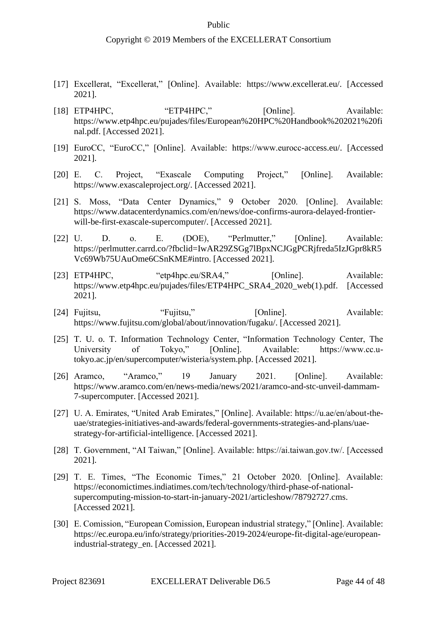- [17] Excellerat, "Excellerat," [Online]. Available: https://www.excellerat.eu/. [Accessed 2021].
- [18] ETP4HPC, "ETP4HPC," [Online]. Available: https://www.etp4hpc.eu/pujades/files/European%20HPC%20Handbook%202021%20fi nal.pdf. [Accessed 2021].
- [19] EuroCC, "EuroCC," [Online]. Available: https://www.eurocc-access.eu/. [Accessed 2021].
- [20] E. C. Project, "Exascale Computing Project," [Online]. Available: https://www.exascaleproject.org/. [Accessed 2021].
- [21] S. Moss, "Data Center Dynamics," 9 October 2020. [Online]. Available: https://www.datacenterdynamics.com/en/news/doe-confirms-aurora-delayed-frontierwill-be-first-exascale-supercomputer/. [Accessed 2021].
- [22] U. D. o. E. (DOE), "Perlmutter," [Online]. Available: https://perlmutter.carrd.co/?fbclid=IwAR29ZSGg7lBpxNCJGgPCRjfreda5IzJGpr8kR5 Vc69Wb75UAuOme6CSnKME#intro. [Accessed 2021].
- [23] ETP4HPC, "etp4hpc.eu/SRA4," [Online]. Available: https://www.etp4hpc.eu/pujades/files/ETP4HPC\_SRA4\_2020\_web(1).pdf. [Accessed 2021].
- [24] Fujitsu, "Fujitsu," [Online]. Available: https://www.fujitsu.com/global/about/innovation/fugaku/. [Accessed 2021].
- [25] T. U. o. T. Information Technology Center, "Information Technology Center, The University of Tokyo," [Online]. Available: https://www.cc.utokyo.ac.jp/en/supercomputer/wisteria/system.php. [Accessed 2021].
- [26] Aramco, "Aramco," 19 January 2021. [Online]. Available: https://www.aramco.com/en/news-media/news/2021/aramco-and-stc-unveil-dammam-7-supercomputer. [Accessed 2021].
- [27] U. A. Emirates, "United Arab Emirates," [Online]. Available: https://u.ae/en/about-theuae/strategies-initiatives-and-awards/federal-governments-strategies-and-plans/uaestrategy-for-artificial-intelligence. [Accessed 2021].
- [28] T. Government, "AI Taiwan," [Online]. Available: https://ai.taiwan.gov.tw/. [Accessed 2021].
- [29] T. E. Times, "The Economic Times," 21 October 2020. [Online]. Available: https://economictimes.indiatimes.com/tech/technology/third-phase-of-nationalsupercomputing-mission-to-start-in-january-2021/articleshow/78792727.cms. [Accessed 2021].
- [30] E. Comission, "European Comission, European industrial strategy," [Online]. Available: https://ec.europa.eu/info/strategy/priorities-2019-2024/europe-fit-digital-age/europeanindustrial-strategy\_en. [Accessed 2021].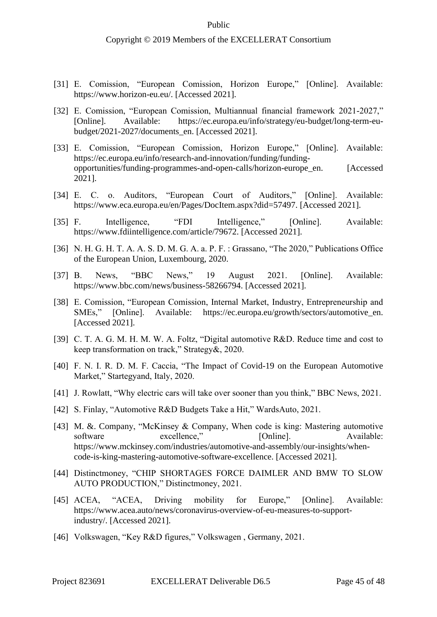- [31] E. Comission, "European Comission, Horizon Europe," [Online]. Available: https://www.horizon-eu.eu/. [Accessed 2021].
- [32] E. Comission, "European Comission, Multiannual financial framework 2021-2027," [Online]. Available: https://ec.europa.eu/info/strategy/eu-budget/long-term-eubudget/2021-2027/documents\_en. [Accessed 2021].
- [33] E. Comission, "European Comission, Horizon Europe," [Online]. Available: https://ec.europa.eu/info/research-and-innovation/funding/fundingopportunities/funding-programmes-and-open-calls/horizon-europe\_en. [Accessed 2021].
- [34] E. C. o. Auditors, "European Court of Auditors," [Online]. Available: https://www.eca.europa.eu/en/Pages/DocItem.aspx?did=57497. [Accessed 2021].
- [35] F. Intelligence, "FDI Intelligence," [Online]. Available: https://www.fdiintelligence.com/article/79672. [Accessed 2021].
- [36] N. H. G. H. T. A. A. S. D. M. G. A. a. P. F. : Grassano, "The 2020," Publications Office of the European Union, Luxembourg, 2020.
- [37] B. News, "BBC News," 19 August 2021. [Online]. Available: https://www.bbc.com/news/business-58266794. [Accessed 2021].
- [38] E. Comission, "European Comission, Internal Market, Industry, Entrepreneurship and SMEs," [Online]. Available: https://ec.europa.eu/growth/sectors/automotive\_en. [Online]. Available: https://ec.europa.eu/growth/sectors/automotive en. [Accessed 2021].
- [39] C. T. A. G. M. H. M. W. A. Foltz, "Digital automotive R&D. Reduce time and cost to keep transformation on track," Strategy&, 2020.
- [40] F. N. I. R. D. M. F. Caccia, "The Impact of Covid-19 on the European Automotive Market," Startegyand, Italy, 2020.
- [41] J. Rowlatt, "Why electric cars will take over sooner than you think," BBC News, 2021.
- [42] S. Finlay, "Automotive R&D Budgets Take a Hit," WardsAuto, 2021.
- [43] M. &. Company, "McKinsey & Company, When code is king: Mastering automotive software excellence," [Online]. Available: https://www.mckinsey.com/industries/automotive-and-assembly/our-insights/whencode-is-king-mastering-automotive-software-excellence. [Accessed 2021].
- [44] Distinctmoney, "CHIP SHORTAGES FORCE DAIMLER AND BMW TO SLOW AUTO PRODUCTION," Distinctmoney, 2021.
- [45] ACEA, "ACEA, Driving mobility for Europe," [Online]. Available: https://www.acea.auto/news/coronavirus-overview-of-eu-measures-to-supportindustry/. [Accessed 2021].
- [46] Volkswagen, "Key R&D figures," Volkswagen , Germany, 2021.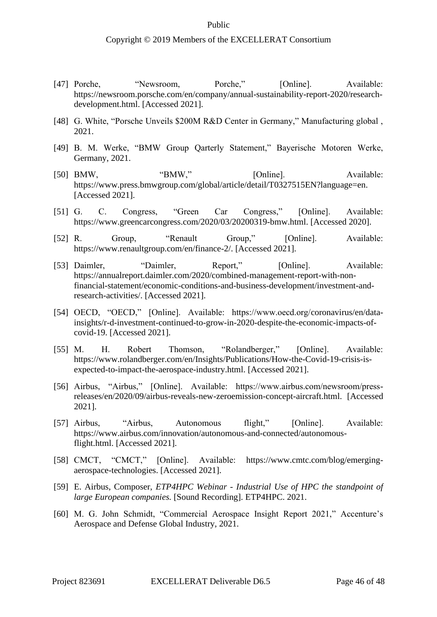- [47] Porche, "Newsroom, Porche," [Online]. Available: https://newsroom.porsche.com/en/company/annual-sustainability-report-2020/researchdevelopment.html. [Accessed 2021].
- [48] G. White, "Porsche Unveils \$200M R&D Center in Germany," Manufacturing global, 2021.
- [49] B. M. Werke, "BMW Group Qarterly Statement," Bayerische Motoren Werke, Germany, 2021.
- [50] BMW, "BMW," [Online]. Available: https://www.press.bmwgroup.com/global/article/detail/T0327515EN?language=en. [Accessed 2021].
- [51] G. C. Congress, "Green Car Congress," [Online]. Available: https://www.greencarcongress.com/2020/03/20200319-bmw.html. [Accessed 2020].
- [52] R. Group, "Renault Group," [Online]. Available: https://www.renaultgroup.com/en/finance-2/. [Accessed 2021].
- [53] Daimler, "Daimler, Report," [Online]. Available: https://annualreport.daimler.com/2020/combined-management-report-with-nonfinancial-statement/economic-conditions-and-business-development/investment-andresearch-activities/. [Accessed 2021].
- [54] OECD, "OECD," [Online]. Available: https://www.oecd.org/coronavirus/en/datainsights/r-d-investment-continued-to-grow-in-2020-despite-the-economic-impacts-ofcovid-19. [Accessed 2021].
- [55] M. H. Robert Thomson, "Rolandberger," [Online]. Available: https://www.rolandberger.com/en/Insights/Publications/How-the-Covid-19-crisis-isexpected-to-impact-the-aerospace-industry.html. [Accessed 2021].
- [56] Airbus, "Airbus," [Online]. Available: https://www.airbus.com/newsroom/pressreleases/en/2020/09/airbus-reveals-new-zeroemission-concept-aircraft.html. [Accessed 2021].
- [57] Airbus, "Airbus, Autonomous flight," [Online]. Available: https://www.airbus.com/innovation/autonomous-and-connected/autonomousflight.html. [Accessed 2021].
- [58] CMCT, "CMCT," [Online]. Available: https://www.cmtc.com/blog/emergingaerospace-technologies. [Accessed 2021].
- [59] E. Airbus, Composer, *ETP4HPC Webinar - Industrial Use of HPC the standpoint of large European companies.* [Sound Recording]. ETP4HPC. 2021.
- [60] M. G. John Schmidt, "Commercial Aerospace Insight Report 2021," Accenture's Aerospace and Defense Global Industry, 2021.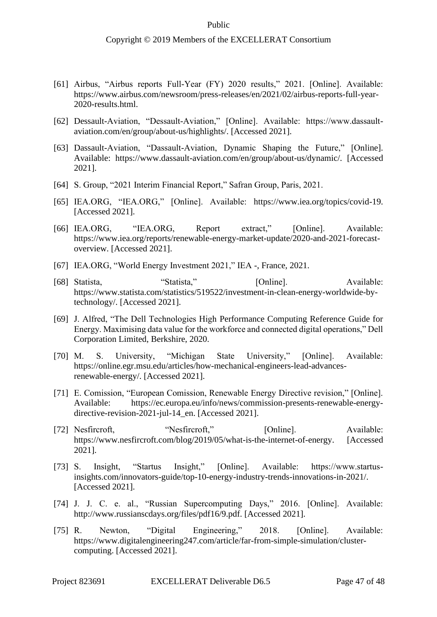- [61] Airbus, "Airbus reports Full-Year (FY) 2020 results," 2021. [Online]. Available: https://www.airbus.com/newsroom/press-releases/en/2021/02/airbus-reports-full-year-2020-results.html.
- [62] Dessault-Aviation, "Dessault-Aviation," [Online]. Available: https://www.dassaultaviation.com/en/group/about-us/highlights/. [Accessed 2021].
- [63] Dassault-Aviation, "Dassault-Aviation, Dynamic Shaping the Future," [Online]. Available: https://www.dassault-aviation.com/en/group/about-us/dynamic/. [Accessed 2021].
- [64] S. Group, "2021 Interim Financial Report," Safran Group, Paris, 2021.
- [65] IEA.ORG, "IEA.ORG," [Online]. Available: https://www.iea.org/topics/covid-19. [Accessed 2021].
- [66] IEA.ORG, "IEA.ORG, Report extract," [Online]. Available: https://www.iea.org/reports/renewable-energy-market-update/2020-and-2021-forecastoverview. [Accessed 2021].
- [67] IEA.ORG, "World Energy Investment 2021," IEA -, France, 2021.
- [68] Statista, "Statista," [Online]. Available: https://www.statista.com/statistics/519522/investment-in-clean-energy-worldwide-bytechnology/. [Accessed 2021].
- [69] J. Alfred, "The Dell Technologies High Performance Computing Reference Guide for Energy. Maximising data value for the workforce and connected digital operations," Dell Corporation Limited, Berkshire, 2020.
- [70] M. S. University, "Michigan State University," [Online]. Available: https://online.egr.msu.edu/articles/how-mechanical-engineers-lead-advancesrenewable-energy/. [Accessed 2021].
- [71] E. Comission, "European Comission, Renewable Energy Directive revision," [Online]. Available: https://ec.europa.eu/info/news/commission-presents-renewable-energydirective-revision-2021-jul-14\_en. [Accessed 2021].
- [72] Nesfircroft, "Nesfircroft," [Online]. Available: https://www.nesfircroft.com/blog/2019/05/what-is-the-internet-of-energy. [Accessed 2021].
- [73] S. Insight, "Startus Insight," [Online]. Available: https://www.startusinsights.com/innovators-guide/top-10-energy-industry-trends-innovations-in-2021/. [Accessed 2021].
- [74] J. J. C. e. al., "Russian Supercomputing Days," 2016. [Online]. Available: http://www.russianscdays.org/files/pdf16/9.pdf. [Accessed 2021].
- [75] R. Newton, "Digital Engineering," 2018. [Online]. Available: https://www.digitalengineering247.com/article/far-from-simple-simulation/clustercomputing. [Accessed 2021].